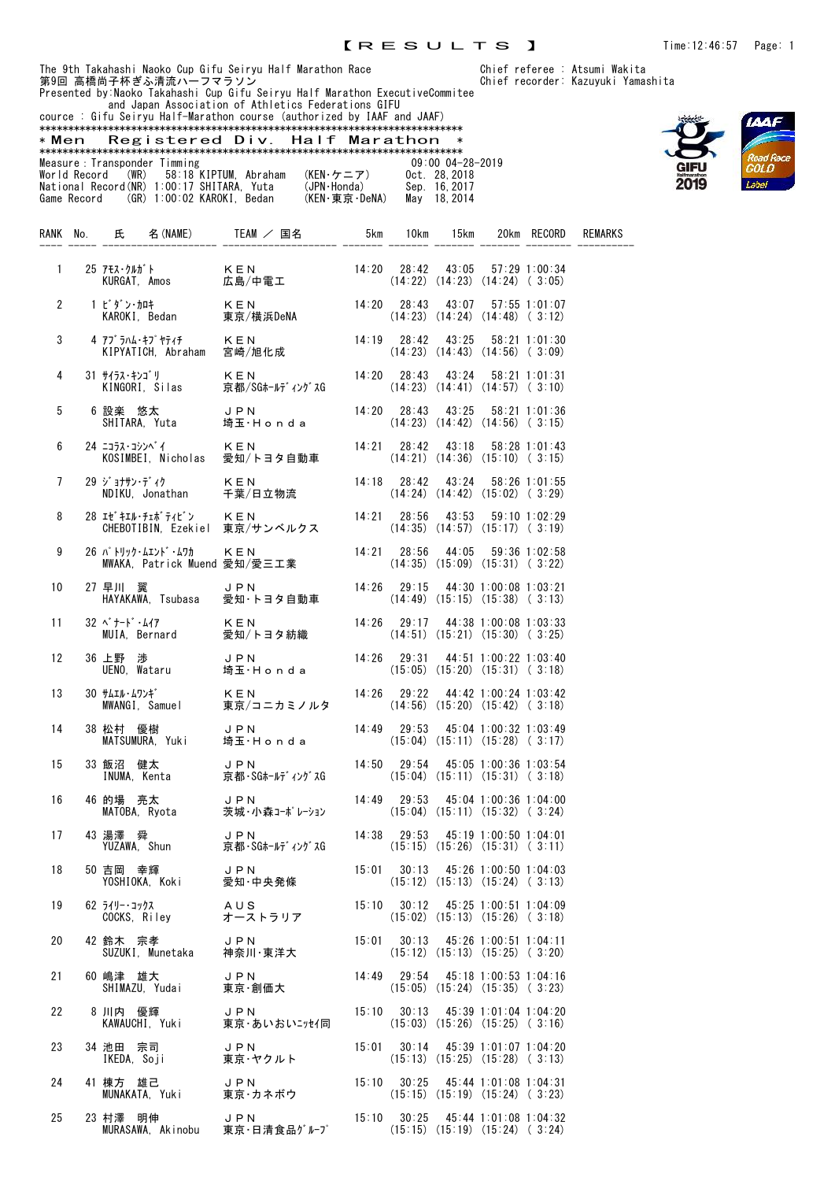and Japan Association of Athletics Federations GIFU





|                               | cource : Gifu Seirvu Half-Marathon course (authorized by IAAF and JAAF) |               |                      |
|-------------------------------|-------------------------------------------------------------------------|---------------|----------------------|
|                               |                                                                         |               |                      |
|                               | *Men Registered Div. Half Marathon                                      |               |                      |
|                               |                                                                         |               |                      |
| Measure : Transponder Timming |                                                                         |               | $09:00$ $04-28-2019$ |
|                               | World Record (WR) 58:18 KIPTUM, Abraham                                 | (KEN・ケニア)     | Oct. 28.2018         |
|                               | National Record (NR) 1:00:17 SHITARA. Yuta                              | (JPN·Honda)   | Sep. 16.2017         |
|                               | Game Record (GR) 1:00:02 KAROKI. Bedan                                  | (KEN・東京・DeNA) | May 18.2014          |

| RANK No.             |              |                                      | 氏 名 (NAME) TEAM / 国名                                       | 5km                             | 10km                                                                                  | 15km                                                                  |                       | 20km RECORD   | REMARKS |
|----------------------|--------------|--------------------------------------|------------------------------------------------------------|---------------------------------|---------------------------------------------------------------------------------------|-----------------------------------------------------------------------|-----------------------|---------------|---------|
| $\mathbf{1}$         | 25 アモス・クルガ゛ト | KURGAT, Amos                         | KEN<br>…二…<br>広島/中電工                                       | 14:20 28:42 43:05 57:29 1:00:34 | $(14:22)$ $(14:23)$ $(14:24)$ $(3:05)$                                                |                                                                       |                       |               |         |
| $\mathbf{2}^{\circ}$ | 1 ビ ダ ン・加ヰ   |                                      |                                                            | 14:20 28:43 43:07 57:55 1:01:07 |                                                                                       | $(14:23)$ $(14:24)$ $(14:48)$ $(3:12)$                                |                       |               |         |
| 3                    |              |                                      | 4 アブラハム・キプヤティチ         KEN<br>KIPYATICH, Abraham    宮崎/旭化成 |                                 | 14:19 28:42 43:25<br>$(14:23)$ $(14:43)$ $(14:56)$ $(3:09)$                           |                                                                       |                       | 58:21 1:01:30 |         |
| 4                    |              | 31 サイラス・キンゴリ<br>KINGORI, Silas       | KEN<br>・、<br>京都/SGホールディングスG                                |                                 | $14:20$ $28:43$ $43:24$ $58:21$ 1:01:31<br>$(14:23)$ $(14:41)$ $(14:57)$ $(3:10)$     |                                                                       |                       |               |         |
| 5                    |              | SHITARA, Yuta                        | 6 設楽 悠太 JPN 14:20 28:43 43:25 58:21 1:01:36<br>埼玉・Honda    |                                 | $(14:23)$ $(14:42)$ $(14:56)$ $(3:15)$                                                |                                                                       |                       |               |         |
| 6                    |              | 24 ニコラス・コシンへ゛イ<br>KOSIMBEI, Nicholas | KEN<br>愛知/トヨタ自動車                                           |                                 | 14:21  28:42  43:18  58:28  1:01:43<br>$(14:21)$ $(14:36)$ $(15:10)$ $(3:15)$         |                                                                       |                       |               |         |
| 7                    |              | 29 ジョナサン・ディク<br>NDIKU, Jonathan      | KEN<br>千葉/日立物流                                             |                                 | 14:18 28:42 43:24 58:26 1:01:55                                                       | $(14:24)$ $(14:42)$ $(15:02)$ $(3:29)$                                |                       |               |         |
| 8                    |              | 28 エセ゛キェル・チェホ゛ティピ゛ン                  | KEN<br>CHEBOTIBIN, Ezekiel 東京/サンベルクス                       |                                 | $14:21$ $28:56$ $43:53$ $59:10$ $1:02:29$                                             | $(14:35)$ $(14:57)$ $(15:17)$ $(3:19)$                                |                       |               |         |
| 9                    |              | 26 パトリック・ムエンド・ムワカ                    | KEN<br>MWAKA, Patrick Muend 愛知/愛三工業                        | 14:21                           |                                                                                       | 28:56 44:05 59:36 1:02:58<br>$(14:35)$ $(15:09)$ $(15:31)$ $(3:22)$   |                       |               |         |
| 10                   | 27 早川 翼      |                                      | JPN<br>早川 冀 しPN<br>HAYAKAWA, Tsubasa 愛知・トヨタ自動車             | 14:26                           | $(14:49)$ $(15:15)$ $(15:38)$ $(3:13)$                                                | 29:15 44:30 1:00:08 1:03:21                                           |                       |               |         |
| 11                   | 32 ベナード・ムイア  | MUIA, Bernard                        | KEN<br>愛知/トヨタ紡織                                            | 14:26                           |                                                                                       | 29:17 44:38 1:00:08 1:03:33<br>$(14:51)$ $(15:21)$ $(15:30)$ $(3:25)$ |                       |               |         |
| 12 <sup>2</sup>      |              | 36 上野 渉                              | JPN<br>UENO, Wataru     埼玉·Honda                           |                                 | 14:26 29:31 44:51 1:00:22 1:03:40                                                     | $(15:05)$ $(15:20)$ $(15:31)$ $(3:18)$                                |                       |               |         |
| 13                   |              |                                      |                                                            |                                 | $14:26$ $29:22$ $44:42$ $1:00:24$ $1:03:42$<br>$(14:56)$ $(15:20)$ $(15:42)$ $(3:18)$ |                                                                       |                       |               |         |
| 14                   |              | 38 松村 優樹<br>MATSUMURA, Yuki          | $\cup$ PN<br>埼玉・Honda                                      |                                 | 14:49 29:53 45:04 1:00:32 1:03:49<br>$(15:04)$ $(15:11)$ $(15:28)$ $(3:17)$           |                                                                       |                       |               |         |
| 15                   |              | 33 飯沼 健太<br>INUMA, Kenta             | JPN<br>京都・SGホールディングスG                                      |                                 | 14:50 29:54 45:05 1:00:36 1:03:54<br>$(15:04)$ $(15:11)$ $(15:31)$ $(3:18)$           |                                                                       |                       |               |         |
| 16                   | 46 的場 亮太     |                                      | JPN<br>的場 亮太      J P N<br>MATOBA,Ryota    茨城・小森コーポレーション   |                                 | 14:49 29:53 45:04 1:00:36 1:04:00<br>$(15:04)$ $(15:11)$ $(15:32)$ $(3:24)$           |                                                                       |                       |               |         |
| 17                   | 43 湯澤 舜      | YUZAWA, Shun                         | <b>JPN</b><br>京都・SGホールディングスG                               |                                 | 14:38 29:53 45:19 1:00:50 1:04:01<br>$(15:15)$ $(15:26)$ $(15:31)$ $(3:11)$           |                                                                       |                       |               |         |
| 18                   | 50 吉岡 幸輝     | YOSHIOKA, Koki                       | JPN<br>愛知·中央発條                                             |                                 | $15:01$ $30:13$ $45:26$ $1:00:50$ $1:04:03$                                           | $(15:12)$ $(15:13)$ $(15:24)$ $(3:13)$                                |                       |               |         |
| 19                   | 62 ライリー・コックス | COCKS, Riley                         | AUS<br>オーストラリア                                             |                                 | 15:10  30:12  45:25  1:00:51  1:04:09                                                 | $(15:02)$ $(15:13)$ $(15:26)$ $(3:18)$                                |                       |               |         |
| 20                   | 42 鈴木 宗孝     | SUZUKI. Munetaka                     | JPN<br>神奈川・東洋大                                             |                                 | $15:01$ $30:13$ $45:26$ $1:00:51$ $1:04:11$                                           | $(15:12)$ $(15:13)$ $(15:25)$ $(3:20)$                                |                       |               |         |
| 21                   | 60 嶋津 雄大     | SHIMAZU. Yudai                       | JPN<br>東京・創価大                                              |                                 | 14:49 29:54 45:18 1:00:53 1:04:16                                                     | $(15:05)$ $(15:24)$ $(15:35)$ $(3:23)$                                |                       |               |         |
| 22                   | 8 川内 優輝      | KAWAUCHI, Yuki                       | JPN<br>東京・あいおいニッセイ同                                        |                                 | $15:10$ $30:13$ $45:39$ $1:01:04$ $1:04:20$                                           | $(15:03)$ $(15:26)$ $(15:25)$ $(3:16)$                                |                       |               |         |
| 23                   | 34 池田 宗司     | IKEDA, Soji                          | JPN<br>東京・ヤクルト                                             |                                 | 15:01 30:14 45:39 1:01:07 1:04:20                                                     | $(15:13)$ $(15:25)$ $(15:28)$ $(3:13)$                                |                       |               |         |
| 24                   | 41 棟方 雄己     | MUNAKATA, Yuki                       | JPN<br>東京・カネボウ                                             | 15:10                           | $(15:15)$ $(15:19)$ $(15:24)$ $(3:23)$                                                | $30:25$ 45:44 1:01:08 1:04:31                                         |                       |               |         |
| 25                   | 23 村澤 明伸     |                                      | <b>JPN</b><br>MURASAWA, Akinobu 東京·日清食品ゲルプ                 | 15:10                           | 30:25<br>$(15:15)$ $(15:19)$ $(15:24)$ $(3:24)$                                       |                                                                       | 45:44 1:01:08 1:04:32 |               |         |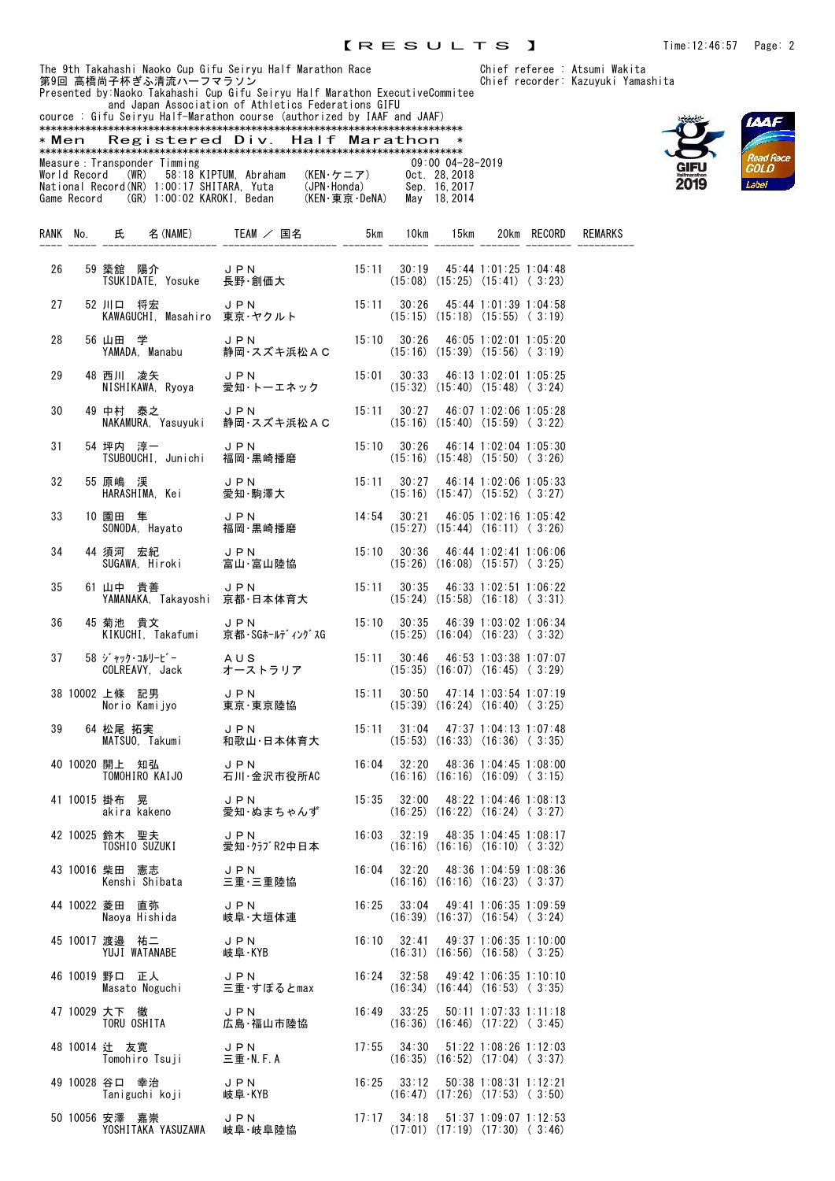**IAAF** 

|       |              |      |                               | and Japan Association of Athletics Federations GIFU<br>cource : Gifu Seiryu Half-Marathon course (authorized by IAAF and JAAF) |    |                                    |     |      |                      |      |        |                |
|-------|--------------|------|-------------------------------|--------------------------------------------------------------------------------------------------------------------------------|----|------------------------------------|-----|------|----------------------|------|--------|----------------|
|       |              |      |                               |                                                                                                                                |    |                                    |     |      |                      |      |        |                |
| * Men |              |      |                               | Registered Div. Half Marathon                                                                                                  |    |                                    |     |      |                      |      |        |                |
|       |              |      |                               |                                                                                                                                |    |                                    |     |      |                      |      |        |                |
|       |              |      | Measure : Transponder Timming |                                                                                                                                |    |                                    |     |      | $09:00$ $04-28-2019$ |      |        |                |
|       | World Record | (WR) | 58:18 KIPTUM.                 | Abraham                                                                                                                        |    | $(KEN \cdot \nabla = \mathcal{F})$ |     |      | Oct. 28.2018         |      |        |                |
|       |              |      |                               | National Record(NR) 1:00:17 SHITARA. Yuta                                                                                      |    | (JPN·Honda)                        |     |      | Sep. 16.2017         |      |        |                |
|       | Game Record  |      | (GR) 1:00:02 KAROKI.          | Bedan                                                                                                                          |    | (KEN・東京・DeNA)                      |     |      | May 18, 2014         |      |        |                |
|       |              |      |                               |                                                                                                                                |    |                                    |     |      |                      |      |        |                |
|       |              |      |                               |                                                                                                                                |    |                                    |     |      |                      |      |        |                |
| RANK  |              | 氏.   | (NAME)                        | TFAM                                                                                                                           | 国名 |                                    | 5km | lOkm | 15km                 | 20km | RECORP | <b>REMARKS</b> |
|       |              |      |                               |                                                                                                                                |    |                                    |     |      |                      |      |        |                |

| 26 |    |                                                                 | 59 築舘 陽介      J P N         15:11  30:19  45:44 1:01:25 1:04:48<br>TSUKIDATE, Yosuke  長野・創価大         (15:08) (15:25) (15:41) ( 3:23)         |                                                                                       |                                        |  |
|----|----|-----------------------------------------------------------------|----------------------------------------------------------------------------------------------------------------------------------------------|---------------------------------------------------------------------------------------|----------------------------------------|--|
| 27 |    | 52 川口 将宏                                                        | 川口 将宏     JPN         15:11  30:26   45:44 1:01:39 1:04:58<br>KAWAGUCHI, Masahiro 東京・ヤクルト        (15:15) (15:18) (15:55) ( 3:19)             |                                                                                       |                                        |  |
| 28 |    |                                                                 | 56 山田 学       J P N         15:10  30:26   46:05 1:02:01 1:05:20<br>YAMADA, Manabu   静岡・スズキ浜松AC    (15:16)(15:39)(15:56)(3:19)               |                                                                                       |                                        |  |
| 29 |    |                                                                 |                                                                                                                                              |                                                                                       |                                        |  |
| 30 |    |                                                                 |                                                                                                                                              |                                                                                       |                                        |  |
| 31 |    |                                                                 | 54 坪内 淳一      J P N          15:10   30:26   46:14 1:02:04 1:05:30<br>TSUBOUCHI, Junichi  福岡·黒崎播磨        (15:16) (15:48) (15:50)(3:26)       |                                                                                       |                                        |  |
| 32 |    |                                                                 | - 55 原嶋 渓        J P N         15:11  30:27  46:14 1:02:06 1:05:33<br>- HARASHIMA, Kei    愛知·駒澤大         (15:16) (15:47) (15:52) ( 3:27)     |                                                                                       |                                        |  |
| 33 |    |                                                                 | 10 園田 隼       J P N         14:54   30:21   46:05 1:02:16 1:05:42<br>SONODA,Hayato    福岡·黒崎播磨        (15:27) (15:44) (16:11) ( 3:26)         |                                                                                       |                                        |  |
| 34 |    |                                                                 |                                                                                                                                              |                                                                                       |                                        |  |
| 35 |    | 61 山中 貴善                                                        | 山中 貴善    J PN          15:11  30:35  46:33 1:02:51 1:06:22<br>YAMANAKA, Takayoshi 京都・日本体育大        (15:24) (15:58) (16:18) ( 3:31)            |                                                                                       |                                        |  |
| 36 |    | 45 菊池 貴文                                                        | 菊池 貴文      J P N          15:10  30:35  46:39 1:03:02 1:06:34<br>KIKUCHI, Takafumi  京都・SGホールディングスG      (15:25) (16:04) (16:23) ( 3:32)      |                                                                                       |                                        |  |
| 37 |    |                                                                 |                                                                                                                                              |                                                                                       |                                        |  |
|    |    |                                                                 | 38 10002 上條 記男      J P N         15:11  30:50   47:14 1:03:54 1:07:19<br>Norio Kamijyo    東京·東京陸協          (15:39) (16:24) (16:40)( 3:25)   |                                                                                       |                                        |  |
|    | 39 |                                                                 | - 64 松尾 拓実 - リ P N - 15:11 31:04 47:37 1:04:13 1:07:48<br>MATSUO, Takumi - 和歌山・日本体育大 - (15:53) (16:33) (16:36) ( 3:35)                       |                                                                                       |                                        |  |
|    |    |                                                                 | 40 10020 開上 知弘       J P N          16:04  32:20  48:36 1:04:45 1:08:00<br>TOMOHIRO KAIJO    石川·金沢市役所AC        (16:16) (16:16) (16:09)(3:15) |                                                                                       |                                        |  |
|    |    |                                                                 | 41 10015 掛布 晃       JPN        15:35    32:00    48:22 1:04:46 1:08:13<br>akira kakeno    愛知·ぬまちゃんず     (16:25) (16:22) (16:24) ( 3:27)      |                                                                                       |                                        |  |
|    |    |                                                                 | - 42 10025 鈴木 聖夫 - リ P N - 16:03 - 32:19 - 48:35 1:04:45 1:08:17<br>TOSHIO SUZUKI - 愛知・クラブR2中日本 - (16:16) (16:16) (16:10) (3:32)             |                                                                                       |                                        |  |
|    |    |                                                                 | 43 10016 柴田 憲志      JPN         16:04  32:20  48:36 1:04:59 1:08:36<br>Kenshi Shibata    三重·三重陸協          (16:16) (16:16) (16:23)(3:37)      |                                                                                       |                                        |  |
|    |    | 44 10022 菱田 直弥<br>Naoya Hishida                                 | JPN<br>岐阜·大垣体連                                                                                                                               | $16:25$ $33:04$ $49:41$ $1:06:35$ $1:09:59$                                           | $(16:39)$ $(16:37)$ $(16:54)$ $(3:24)$ |  |
|    |    | 45 10017 渡邉 祐二<br>YUJI WATANABE                                 | JPN<br>岐阜·KYB                                                                                                                                | 16:10 32:41 49:37 1:06:35 1:10:00                                                     | $(16:31)$ $(16:56)$ $(16:58)$ $(3:25)$ |  |
|    |    | 46 10019 野口 正人<br>Masato Noguchi                                | J P N<br>三重・すぽるとmax                                                                                                                          | 16:24 32:58 49:42 1:06:35 1:10:10                                                     | $(16:34)$ $(16:44)$ $(16:53)$ $(3:35)$ |  |
|    |    | 47 10029 大下 徹<br>TORU OSHITA                                    | JPN<br>広島・福山市陸協                                                                                                                              | $16:49$ $33:25$ $50:11$ $1:07:33$ $1:11:18$<br>$(16:36)$ $(16:46)$ $(17:22)$ $(3:45)$ |                                        |  |
|    |    | 48 10014 辻 友寛<br>Tomohiro Tsuji 三重·N.F.A                        | JPN                                                                                                                                          | $17:55$ $34:30$ $51:22$ $1:08:26$ $1:12:03$                                           | $(16:35)$ $(16:52)$ $(17:04)$ $(3:37)$ |  |
|    |    | 49 10028 谷口 幸治<br>Taniguchi koji 岐阜·KYB                         | JPN                                                                                                                                          | 16:25 33:12 50:38 1:08:31 1:12:21                                                     | $(16:47)$ $(17:26)$ $(17:53)$ $(3:50)$ |  |
|    |    | 50 10056 安澤 嘉崇<br>安澤 嘉崇 しり D D N<br>YOSHITAKA YASUZAWA し岐阜・岐阜陸協 | J P N                                                                                                                                        | $17:17$ $34:18$ $51:37$ $1:09:07$ $1:12:53$                                           | $(17:01)$ $(17:19)$ $(17:30)$ $(3:46)$ |  |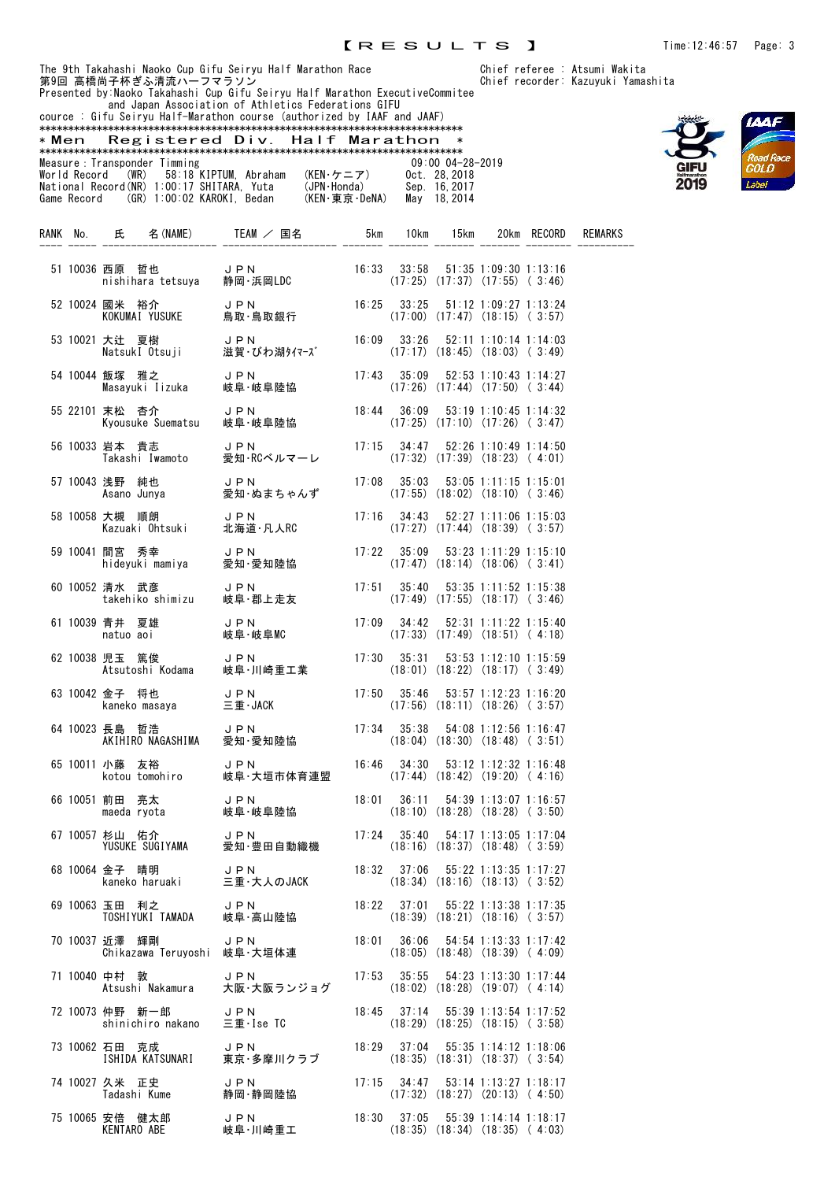and Japan Association of Athletics Federations GIFU cource : Gifu Seiryu Half-Marathon course (authorized by IAAF and JAAF) \*\*\*\*\*\*\*\*\*\*\*\*\*\*\*\*\*\*\*\*\*\*\*\*\*\*\*\*\*\*\*\*\*\*\*\*\*\*\*\*\*\*\*\*\*\*\*\*\*\*\*\*\*\*\*\*\*\*\*\*\*\*\*\*\*\*\*\*\*\*\*\*\*\* \* Men Registered Div. Half Marathon \* \*\*\*\*\*\*\*\*\*\*\*\*\*\*\*\*\*\*\*\*\*\*\*\*\*\*\*\*\*\*\*\*\*\*\*\*\*\*\*\*\*\*\*\*\*\*\*\*\*\*\*\*\*\*\*\*\*\*\*\*\*\*\*\*\*\*\*\*\*\*\*\*\*\* Measure:Transponder Timming 09:00 04-28-2019 World Record (WR) 58:18 KIPTUM, Abraham (KEN・ケニア) Oct. 28,2018 National Record(NR) 1:00:17 SHITARA, Yuta (JPN・Honda) Sep. 16,2017 Game Record (GR) 1:00:02 KAROKI, Bedan (KEN・東京・DeNA) May 18,2014

|  | recorder: Kazuyuki Yamashita |  |
|--|------------------------------|--|
|  |                              |  |



|  |                |                                      |                                                                                                                                                 |       |  |                                                                                         | 20km RECORD | REMARKS |
|--|----------------|--------------------------------------|-------------------------------------------------------------------------------------------------------------------------------------------------|-------|--|-----------------------------------------------------------------------------------------|-------------|---------|
|  |                |                                      | 51 10036 西原 哲也      JPN         16:33  33:58  51:35 1:09:30 1:13:16<br>17:25) (17:37) (17:55) (5:46)       静岡·浜岡LDC         (17:25) (17:37)     |       |  |                                                                                         |             |         |
|  |                |                                      | 52 10024 國米 裕介      J P N         16:25  33:25  51:12 1:09:27 1:13:24<br>KOKUMAI YUSUKE   鳥取・鳥取銀行                   17:00)(17:47)(18:15)( 3:57) |       |  |                                                                                         |             |         |
|  |                |                                      | 53 10021 大辻 夏樹 JPN 16:09 33:26<br>NatsukI Otsuji 滋賀・びわ湖タイマーズ (17:17)                                                                            |       |  | 52:11 1:10:14 1:14:03<br>$(17:17)$ $(18:45)$ $(18:03)$ $(3:49)$                         |             |         |
|  |                |                                      | 54 10044 飯塚 雅之      JPN        17:43  35:09  52:53 1:10:43 1:14:27<br>Masayuki Iizuka   岐阜・岐阜陸協         (17:26) (17:44) (17:50)(3:44)           |       |  |                                                                                         |             |         |
|  |                |                                      | - 55 22101 末松 杏介      J P N         18:44  36:09   53:19 1:10:45 1:14:32<br>Kyousuke Suematsu  岐阜·岐阜陸協        (17:25) (17:10) (17:26) ( 3:47)   |       |  |                                                                                         |             |         |
|  |                |                                      | - 56 10033 岩本 貴志 - JPN - 17:15 34:47 52:26 1:10:49 1:14:50<br>Takashi Iwamoto - 愛知·RCベルマーレ - (17:32) (17:39) (18:23) (4:01)                     |       |  |                                                                                         |             |         |
|  |                |                                      | 57 10043 浅野 純也 JPN 17:08 35:03 53:05 1:11:15 1:15:01<br>Asano Junya 愛知・ぬまちゃんず (17:55) (18:02) (18:10) (3:46)                                    |       |  |                                                                                         |             |         |
|  |                |                                      | 58 10058 大槻 順朗 JPN 17:16 34:43 52:27 1:11:06 1:15:03<br>Kazuaki Ohtsuki 北海道·凡人RC (17:27) (17:44) (18:39) (3:57)                                 |       |  |                                                                                         |             |         |
|  |                |                                      | - 59 10041 間宮 秀幸      J P N         17:22 235:09 53:23 1:11:29 1:15:10<br>hideyuki mamiya   愛知·愛知陸協         (17:47) (18:14) (18:06) (3:41)      |       |  |                                                                                         |             |         |
|  | 60 10052 清水 武彦 |                                      | 清水 武彦      J P N         17:51  35:40  53:35 1:11:52 1:15:38<br>takehiko shimizu   岐阜・郡上走友        (17:49) (17:55) (18:17)( 3:46)                |       |  |                                                                                         |             |         |
|  |                |                                      | - 61 10039 青井 夏雄 - コアN - コア - コア:09 34:42 52:31 1:11:22 1:15:40<br>natuo aoi - 岐阜・岐阜MC - (17:33)(17:49)(18:51)(4:18)                            |       |  |                                                                                         |             |         |
|  | 62 10038 児玉 篤俊 |                                      |                                                                                                                                                 |       |  |                                                                                         |             |         |
|  |                |                                      | 03 10042 金子 将也      J P N        17:50   35:46   53:57 1:12:23 1:16:20<br>kaneko masaya    三重·JACK           (17:56) (18:11) (18:26) ( 3:57)    |       |  |                                                                                         |             |         |
|  |                |                                      | - 64 10023 長島 哲浩 - JPN - 17:34 35:38 54:08 1:12:56 1:16:47<br>AKIHIRO NAGASHIMA - 愛知·愛知陸協 - (18:04) (18:30) (18:48) (3:51)                      |       |  |                                                                                         |             |         |
|  |                |                                      | - 65 10011 小藤 友裕      J P N         16:46   34:30   53:12 1:12:32 1:16:48<br>kotou tomohiro   岐阜·大垣市体育連盟     (17:44) (18:42)(19:20)(4:16)       |       |  |                                                                                         |             |         |
|  |                |                                      | 06 10051 前田 亮太      JPN         18:01  36:11  54:39 1:13:07 1:16:57<br>maeda ryota     岐阜・岐阜陸協           (18:10) (18:28) (18:28)(3:50)          |       |  |                                                                                         |             |         |
|  |                |                                      | 67 10057 杉山 佑介 JPN JPM 17:24<br>YUSUKE SUGIYAMA 愛知・豊田自動織機                                                                                       |       |  | 17:24   35:40   54:17   1:13:05   1:17:04<br>$(18:16)$ $(18:37)$ $(18:48)$ $(3:59)$     |             |         |
|  |                | 68 10064 金子 晴明<br>kaneko haruaki     | JPN<br>三重・大人のJACK                                                                                                                               |       |  | $18:32$ $37:06$ $55:22$ 1:13:35 1:17:27<br>$(18:34)$ $(18:16)$ $(18:13)$ $(3:52)$       |             |         |
|  | 69 10063 玉田 利之 | TOSHIYUKI TAMADA                     | JPN<br>岐阜·高山陸協                                                                                                                                  |       |  | 18:22    37:01    55:22    1:13:38    1:17:35<br>$(18:39)$ $(18:21)$ $(18:16)$ $(3:57)$ |             |         |
|  | 70 10037 近澤 輝剛 | Chikazawa Teruyoshi                  | JPN<br>岐阜·大垣体連                                                                                                                                  | 18:01 |  | $36:06$ $54:54$ 1:13:33 1:17:42<br>$(18:05)$ $(18:48)$ $(18:39)$ $(4:09)$               |             |         |
|  | 71 10040 中村 敦  | Atsushi Nakamura                     | JPN<br>大阪・大阪ランジョグ                                                                                                                               |       |  | 17:53 35:55 54:23 1:13:30 1:17:44<br>$(18:02)$ $(18:28)$ $(19:07)$ $(4:14)$             |             |         |
|  |                | 72 10073 仲野 新一郎<br>shinichiro nakano | <b>JPN</b><br>三重·Ise TC                                                                                                                         |       |  | 18:45 37:14 55:39 1:13:54 1:17:52<br>$(18:29)$ $(18:25)$ $(18:15)$ $(3:58)$             |             |         |
|  | 73 10062 石田 克成 | ISHIDA KATSUNARI                     | JPN<br>東京・多摩川クラブ                                                                                                                                |       |  | 18:29 37:04 55:35 1:14:12 1:18:06<br>$(18:35)$ $(18:31)$ $(18:37)$ $(3:54)$             |             |         |
|  | 74 10027 久米 正史 | Tadashi Kume                         | JPN<br>静岡・静岡陸協                                                                                                                                  |       |  | $17:15$ $34:47$ $53:14$ $1:13:27$ $1:18:17$<br>$(17:32)$ $(18:27)$ $(20:13)$ $(4:50)$   |             |         |
|  |                | 75 10065 安倍 健太郎      JPN             |                                                                                                                                                 |       |  | 18:30 37:05 55:39 1:14:14 1:18:17                                                       |             |         |

KENTARO ABE 岐阜・川崎重工 (18:35) (18:34) (18:35) ( 4:03)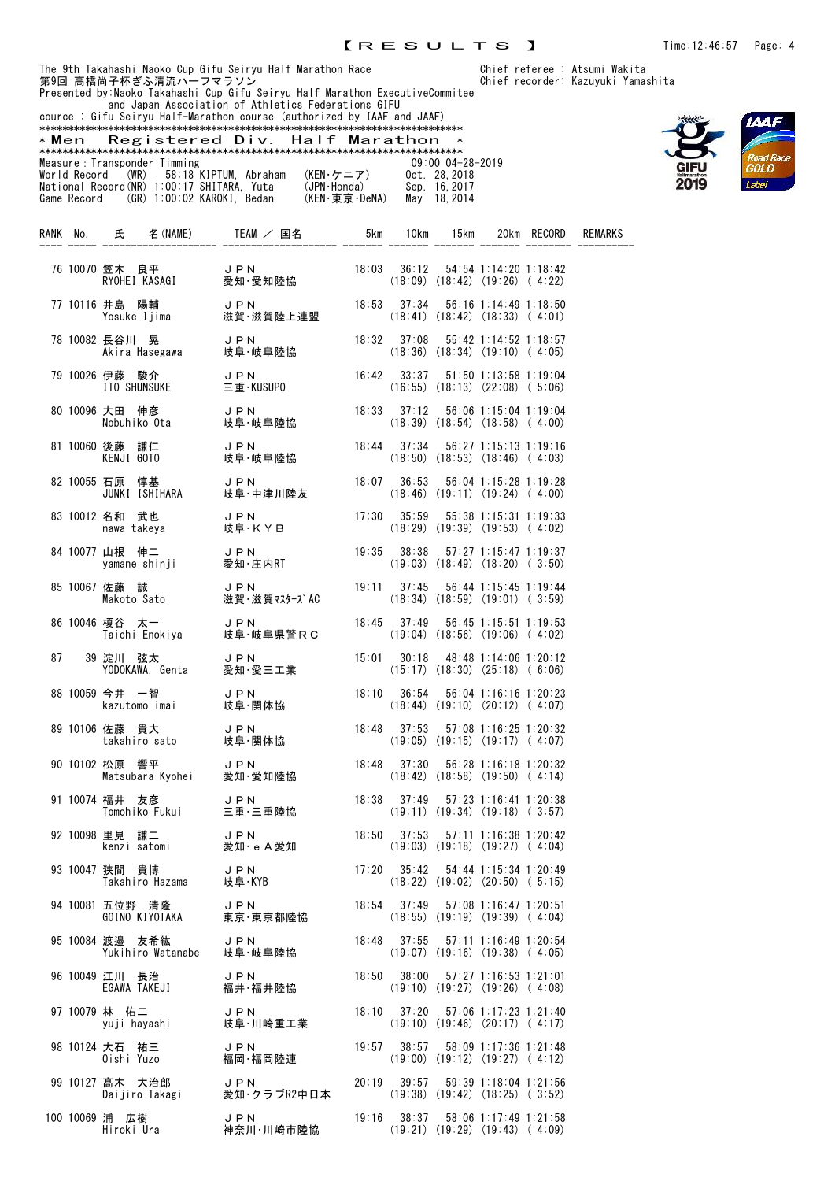Presented by:Naoko Takahashi Cup Gifu Seiryu Half Marathon ExecutiveCommitee and Japan Association of Athletics Federations GIFU cource : Gifu Seiryu Half-Marathon course (authorized by IAAF and JAAF)





|    | Registered Div. Half Marathon<br>* Men — |                                                                                                                                                                                                                                            |                                                                                                        |       |  |                                                                                       |  |             |                |
|----|------------------------------------------|--------------------------------------------------------------------------------------------------------------------------------------------------------------------------------------------------------------------------------------------|--------------------------------------------------------------------------------------------------------|-------|--|---------------------------------------------------------------------------------------|--|-------------|----------------|
|    |                                          | Measure : Transponder Timming<br>World Record (WR) 58:18 KIPTUM, Abraham (KEN・ケニア) 0ct. 28,2018<br>National Record (WR) 1:00:17 SHITARA, Yuta (JPN·Honda) Sep. 16,2017<br>Game Record (GR) 1:00:02 KAROKI, Bedan (KEN·東京·DeNA) May 18,2014 |                                                                                                        |       |  | 09:00 04-28-2019                                                                      |  |             |                |
|    |                                          | RANK No. 氏 名(NAME) TEAM / 国名 5km 10km 15km                                                                                                                                                                                                 |                                                                                                        |       |  |                                                                                       |  | 20km RECORD | <b>REMARKS</b> |
|    |                                          | 76 10070 笠木 良平 J P N<br>RYOHEI KASAGI 愛知・愛                                                                                                                                                                                                 | J P N          18:03   36:12   54:54 1:14:20 1:18:42<br>愛知·愛知陸協        (18:09) (18:42) (19:26) ( 4:22) |       |  |                                                                                       |  |             |                |
|    |                                          | 77 10116 井島 陽輔      J P N<br>Yosuke Ijima     滋賀·滋賀陸上連盟                                                                                                                                                                                    |                                                                                                        | 18:53 |  | $37:34$ $56:16$ 1:14:49 1:18:50<br>$(18:41)$ $(18:42)$ $(18:33)$ $(4:01)$             |  |             |                |
|    |                                          | 78 10082 長谷川 晃 リ PN よん しょうかん しょうかん しょうかん しゅう しゅう しょうしょう                                                                                                                                                                                    |                                                                                                        | 18:32 |  | 37:08  55:42  1:14:52  1:18:57<br>$(18:36)$ $(18:34)$ $(19:10)$ $(4:05)$              |  |             |                |
|    |                                          | 79 10026 伊藤 駿介      J P N<br>ITO SHUNSUKE     三重・KUSUPO                                                                                                                                                                                    |                                                                                                        |       |  | $16:42$ $33:37$ $51:50$ $1:13:58$ $1:19:04$<br>$(16:55)$ $(18:13)$ $(22:08)$ $(5:06)$ |  |             |                |
|    |                                          | 80 10096 大田 伸彦      J P N         18:33   37:12   56:06 1:15:04 1:19:04<br>Nobuhiko Ota    岐阜・岐阜陸協         (18:39) (18:54) (18:58)(4:00)                                                                                                   |                                                                                                        |       |  |                                                                                       |  |             |                |
|    |                                          |                                                                                                                                                                                                                                            |                                                                                                        |       |  |                                                                                       |  |             |                |
|    |                                          | 82 10055 石原 惇基 JP N<br>JUNKI ISHIHARA 岐阜・中                                                                                                                                                                                                 | JPN<br>岐阜・中津川陸友                                                                                        |       |  | $(18:46)$ $(19:11)$ $(19:24)$ $(4:00)$                                                |  |             |                |
|    |                                          | 83 10012 名和 武也 JPN<br>nawa takeya                                                                                                                                                                                                          | 岐阜·KYB                                                                                                 |       |  | $17:30$ $35:59$ $55:38$ $1:15:31$ $1:19:33$<br>$(18:29)$ $(19:39)$ $(19:53)$ $(4:02)$ |  |             |                |
|    |                                          | 山根 伸二      J P N<br>yamane shinji    愛知·庄内RT<br>84 10077 山根 伸二                                                                                                                                                                             |                                                                                                        |       |  | $19:35$ $38:38$ $57:27$ 1:15:47 1:19:37<br>$(19:03)$ $(18:49)$ $(18:20)$ $(3:50)$     |  |             |                |
|    |                                          | 85 10067 佐藤 誠<br>佐藤 誠<br>Makoto Sato                                                                                                                                                                                                       | JPN<br>滋賀 ·滋賀マスターズAC                                                                                   |       |  | $19:11$ $37:45$ $56:44$ $1:15:45$ $1:19:44$<br>$(18:34)$ $(18:59)$ $(19:01)$ $(3:59)$ |  |             |                |
|    |                                          | 86 10046 榎谷 太一     JPN<br>Taichi Enokiya   岐阜·岅                                                                                                                                                                                            | 岐阜·岐阜県警RC                                                                                              | 18:45 |  | $37:49$ $56:45$ 1:15:51 1:19:53<br>$(19:04)$ $(18:56)$ $(19:06)$ $(4:02)$             |  |             |                |
| 87 |                                          | 39 淀川 弦太                                                                                                                                                                                                                                   | 愛知・愛三工業                                                                                                | 15:01 |  | $30:18$ 48:48 1:14:06 1:20:12<br>$(15:17)$ $(18:30)$ $(25:18)$ $(6:06)$               |  |             |                |
|    |                                          | 88 10059 今井 一智      J P N<br>kazutomo imai    岐阜・関体協                                                                                                                                                                                       |                                                                                                        |       |  | $(18:44)$ $(19:10)$ $(20:12)$ $(4:07)$                                                |  |             |                |
|    |                                          | 89 10106 佐藤 貴大<br>takahiro sato                                                                                                                                                                                                            | JPN<br>岐阜·関体協                                                                                          | 18:48 |  | $37:53$ $57:08$ 1:16:25 1:20:32<br>$(19:05)$ $(19:15)$ $(19:17)$ $(4:07)$             |  |             |                |
|    |                                          | 90 10102 松原 響平<br>אי≏<br>Matsubara Kyohei                                                                                                                                                                                                  | JPN<br>愛知·愛知陸協                                                                                         |       |  | 18:48 37:30 56:28 1:16:18 1:20:32<br>$(18:42)$ $(18:58)$ $(19:50)$ $(4:14)$           |  |             |                |
|    |                                          | 91 10074 福井 友彦<br>Tomohiko Fukui                                                                                                                                                                                                           | <b>JPN</b><br>三重・三重陸協                                                                                  | 18:38 |  | $37:49$ $57:23$ 1:16:41 1:20:38<br>$(19:11)$ $(19:34)$ $(19:18)$ $(3:57)$             |  |             |                |
|    |                                          | 92 10098 里見 謙二<br>kenzi satomi                                                                                                                                                                                                             | JPN<br>愛知 · e A愛知                                                                                      | 18:50 |  | $37:53$ $57:11$ 1:16:38 1:20:42<br>$(19:03)$ $(19:18)$ $(19:27)$ $(4:04)$             |  |             |                |
|    |                                          | 93 10047 狭間 貴博<br>Takahiro Hazama                                                                                                                                                                                                          | JPN<br>岐阜·KYB                                                                                          | 17:20 |  | $35:42$ $54:44$ 1:15:34 1:20:49<br>$(18:22)$ $(19:02)$ $(20:50)$ $(5:15)$             |  |             |                |
|    |                                          | 94 10081 五位野 清降<br>GOINO KIYOTAKA                                                                                                                                                                                                          | JPN<br>東京·東京都陸協                                                                                        |       |  | $18:54$ $37:49$ $57:08$ $1:16:47$ $1:20:51$<br>$(18:55)$ $(19:19)$ $(19:39)$ $(4:04)$ |  |             |                |
|    |                                          | 95 10084 渡邉 友希紘<br>Yukihiro Watanabe                                                                                                                                                                                                       | JPN<br>岐阜·岐阜陸協                                                                                         |       |  | $18:48$ $37:55$ $57:11$ $1:16:49$ $1:20:54$<br>$(19:07)$ $(19:16)$ $(19:38)$ $(4:05)$ |  |             |                |
|    |                                          | 96 10049 江川 長治<br>EGAWA TAKEJI                                                                                                                                                                                                             | JPN<br>福井·福井陸協                                                                                         |       |  | 18:50 38:00 57:27 1:16:53 1:21:01<br>$(19:10)$ $(19:27)$ $(19:26)$ $(4:08)$           |  |             |                |
|    |                                          | 97 10079 林 佑二<br>yuji hayashi                                                                                                                                                                                                              | JPN<br>岐阜·川崎重工業                                                                                        |       |  | $18:10$ $37:20$ $57:06$ $1:17:23$ $1:21:40$<br>$(19:10)$ $(19:46)$ $(20:17)$ $(4:17)$ |  |             |                |
|    |                                          | 98 10124 大石 祐三<br>Oishi Yuzo                                                                                                                                                                                                               | J P N<br>福岡・福岡陸連                                                                                       |       |  | $19:57$ $38:57$ $58:09$ 1:17:36 1:21:48<br>$(19:00)$ $(19:12)$ $(19:27)$ $(4:12)$     |  |             |                |
|    |                                          | 99 10127 髙木 大治郎<br>尚不 大治郎<br>Daijiro Takagi                                                                                                                                                                                                | JPN<br>愛知・クラブR2中日本                                                                                     |       |  | $20:19$ $39:57$ $59:39$ 1:18:04 1:21:56<br>$(19:38)$ $(19:42)$ $(18:25)$ $(3:52)$     |  |             |                |
|    |                                          | 100 10069 浦 広樹<br>Hiroki Ura                                                                                                                                                                                                               | J P N<br>神奈川・川崎市陸協                                                                                     |       |  | $19:16$ $38:37$ $58:06$ 1:17:49 1:21:58<br>$(19:21)$ $(19:29)$ $(19:43)$ $(4:09)$     |  |             |                |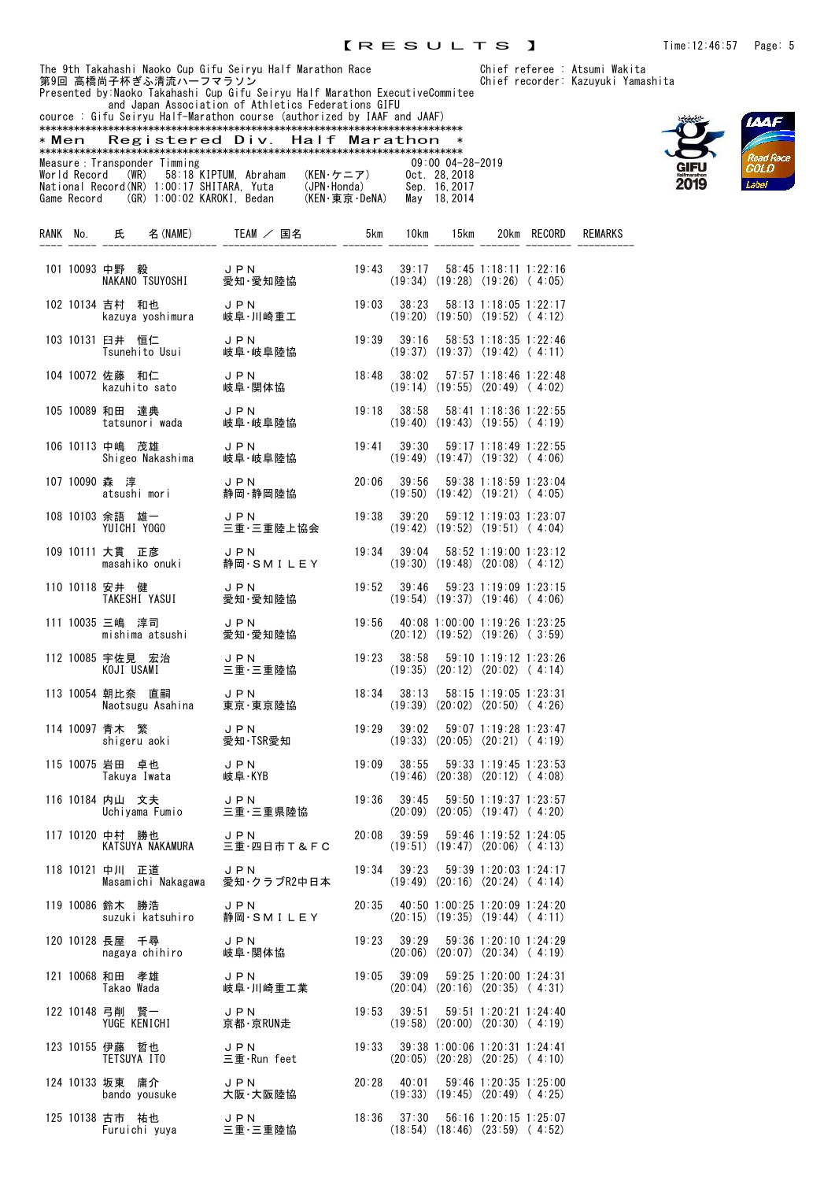Presented by:Naoko Takahashi Cup Gifu Seiryu Half Marathon ExecutiveCommitee and Japan Association of Athletics Federations GIFU



|                               | cource : Gifu Seirvu Half-Marathon course (authorized by IAAF and JAAF) |               |                      |
|-------------------------------|-------------------------------------------------------------------------|---------------|----------------------|
|                               |                                                                         |               |                      |
| * Men                         | Registered Div. Half Marathon                                           |               | $\ast$               |
|                               |                                                                         |               |                      |
| Measure : Transponder Timming |                                                                         |               | $09:00$ $04-28-2019$ |
|                               | World Record (WR) 58:18 KIPTUM, Abraham                                 | (KEN・ケニア)     | Oct. 28.2018         |
|                               | National Record (NR) 1:00:17 SHITARA. Yuta                              | (JPN·Honda)   | Sep. 16.2017         |
|                               | Game Record (GR) 1:00:02 KAROKI. Bedan                                  | (KEN・東京・DeNA) | May 18, 2014         |
|                               |                                                                         |               |                      |
|                               |                                                                         |               |                      |

|  |                 |                                 | 101 10093 中野 毅      J P N         19:43  39:17  58:45 1:18:11 1:22:16<br>NAKANO TSUYOSHI   愛知·愛知陸協          (19:34) (19:28) (19:26) (4:05)     |       |       |                                                                                       |  |
|--|-----------------|---------------------------------|------------------------------------------------------------------------------------------------------------------------------------------------|-------|-------|---------------------------------------------------------------------------------------|--|
|  |                 |                                 | - 102 10134 吉村 和也 - JPN - 19:03 38:23 58:13 1:18:05 1:22:17<br>kazuya yoshimura - 岐阜・川崎重工 - - (19:20) (19:50) (19:52) ( 4:12)                  |       |       |                                                                                       |  |
|  |                 |                                 | 103 10131 臼井 恒仁      J P N         19:39  39:16  58:53 1:18:35 1:22:46<br>Tsunehito Usui   岐阜·岐阜陸協          (19:37) (19:37) (19:42) (4:11)     |       |       |                                                                                       |  |
|  |                 |                                 | 104 10072 佐藤 和仁      J P N         18:48  38:02  57:57 1:18:46 1:22:48<br>kazuhito sato    岐阜 ·関体協          (19:14) (19:55) (20:49) ( 4:02)    |       |       |                                                                                       |  |
|  |                 |                                 |                                                                                                                                                |       |       |                                                                                       |  |
|  | 106 10113 中嶋 茂雄 |                                 |                                                                                                                                                |       |       |                                                                                       |  |
|  |                 |                                 | 107 10090 森 淳         J PN         20:06  39:56  59:38 1:18:59 1:23:04<br>  atsushi mori     静岡・静岡陸協          (19:50) (19:42) (19:21) ( 4:05)  |       |       |                                                                                       |  |
|  |                 |                                 | 108 10103 余語 雄一      J P N          19:38  39:20  59:12 1:19:03 1:23:07<br>YUICHI Y0G0      三重・三重陸上協会        (19:42) (19:52) (19:51)( 4:04)    |       |       |                                                                                       |  |
|  |                 |                                 | 109 10111 大貫 正彦      J P N          19:34  39:04  58:52 1:19:00 1:23:12<br>masahiko onuki   静岡・SMILEY       (19:30) (19:48)(20:08)(4:12)       |       |       |                                                                                       |  |
|  |                 |                                 | 110 10118 安井 健      J P N         19:52  39:46  59:23 1:19:09 1:23:15<br>TAKESHI YASUI    愛知 ·愛知陸協          (19:54) (19:37) (19:46) ( 4:06)    |       |       |                                                                                       |  |
|  |                 |                                 | 111 10035 三嶋 淳司     J P N         19:56  40:08 1:00:00 1:19:26 1:23:25<br>mishima atsushi   愛知·愛知陸協         (20:12) (19:52) (19:26)(3:59)      |       |       |                                                                                       |  |
|  |                 |                                 | 112 10085 宇佐見 宏治     J P N          19:23  38:58  59:10 1:19:12 1:23:26<br>KOJI USAMI      三重·三重陸協           (19:35) (20:12) (20:02) (4:14)    |       |       |                                                                                       |  |
|  |                 |                                 | 113 10054 朝比奈 直嗣 JPN 18:34 38:13 58:15 1:19:05 1:23:31<br>Naotsugu Asahina 東京·東京陸協 (19:39) (20:02) (20:50) (4:26)                              |       |       |                                                                                       |  |
|  |                 |                                 | 114 10097 青木 繁       J P N         19:29   39:02   59:07 1:19:28 1:23:47<br>shigeru aoki     愛知·TSR愛知          (19:33) (20:05) (20:21) ( 4:19) |       |       |                                                                                       |  |
|  |                 |                                 | 115 10075 岩田 卓也      J P N         19:09  38:55  59:33 1:19:45 1:23:53<br>【78.1.19:46】 (20:38) 【78.12】 (4:08)                                  |       |       |                                                                                       |  |
|  | 116 10184 内山 文夫 |                                 | 内山 文夫      J PN          19:36  39:45  59:50 1:19:37 1:23:57<br>Uchiyama Fumio    三重・三重県陸協        (20:09) (20:05) (19:47) ( 4:20)              |       |       |                                                                                       |  |
|  |                 | 117 10120 中村 勝也 JPN             | $20:08$ $39:59$ $59:46$ $1:19:52$ $1:24:05$<br>KATSUYA NAKAMURA 三重 四日市T&FC (19:51) (19:47) (20:06) (4:13)                                      |       |       |                                                                                       |  |
|  | 118 10121 中川 正道 | J P N<br>Masamichi Nakagawa     | 愛知・クラブR2中日本                                                                                                                                    |       |       | $19:34$ $39:23$ $59:39$ 1:20:03 1:24:17<br>$(19:49)$ $(20:16)$ $(20:24)$ $(4:14)$     |  |
|  | 119 10086 鈴木 勝浩 | suzuki katsuhiro                | JPN<br>静岡・SMILEY                                                                                                                               |       |       | 20:35 40:50 1:00:25 1:20:09 1:24:20<br>$(20:15)$ $(19:35)$ $(19:44)$ $(4:11)$         |  |
|  | 120 10128 長屋 千尋 | nagaya chihiro                  | JPN<br>岐阜·関体協                                                                                                                                  |       |       | $19:23$ $39:29$ $59:36$ 1:20:10 1:24:29<br>$(20:06)$ $(20:07)$ $(20:34)$ $(4:19)$     |  |
|  | 121 10068 和田 孝雄 | Takao Wada                      | JPN<br>岐阜·川崎重工業                                                                                                                                |       |       | $19:05$ $39:09$ $59:25$ 1:20:00 1:24:31<br>$(20:04)$ $(20:16)$ $(20:35)$ $(4:31)$     |  |
|  |                 | 122 10148 弓削 賢一<br>YUGE KENICHI | JPN<br>京都·京RUN走                                                                                                                                | 19:53 | 39:51 | $59:51$ 1:20:21 1:24:40<br>$(19:58)$ $(20:00)$ $(20:30)$ $(4:19)$                     |  |
|  | 123 10155 伊藤 哲也 | TETSUYA ITO                     | JPN<br>三重·Run feet                                                                                                                             | 19:33 |       | 39:38 1:00:06 1:20:31 1:24:41<br>$(20:05)$ $(20:28)$ $(20:25)$ $(4:10)$               |  |
|  | 124 10133 坂東 庸介 | bando yousuke 大阪·大阪陸協           | JPN                                                                                                                                            |       |       | 20:28 40:01 59:46 1:20:35 1:25:00<br>$(19:33)$ $(19:45)$ $(20:49)$ $(4:25)$           |  |
|  | 125 10138 古市 祐也 | Furuichi yuya                   | JPN<br>三重·三重陸協                                                                                                                                 |       |       | $18:36$ $37:30$ $56:16$ $1:20:15$ $1:25:07$<br>$(18:54)$ $(18:46)$ $(23:59)$ $(4:52)$ |  |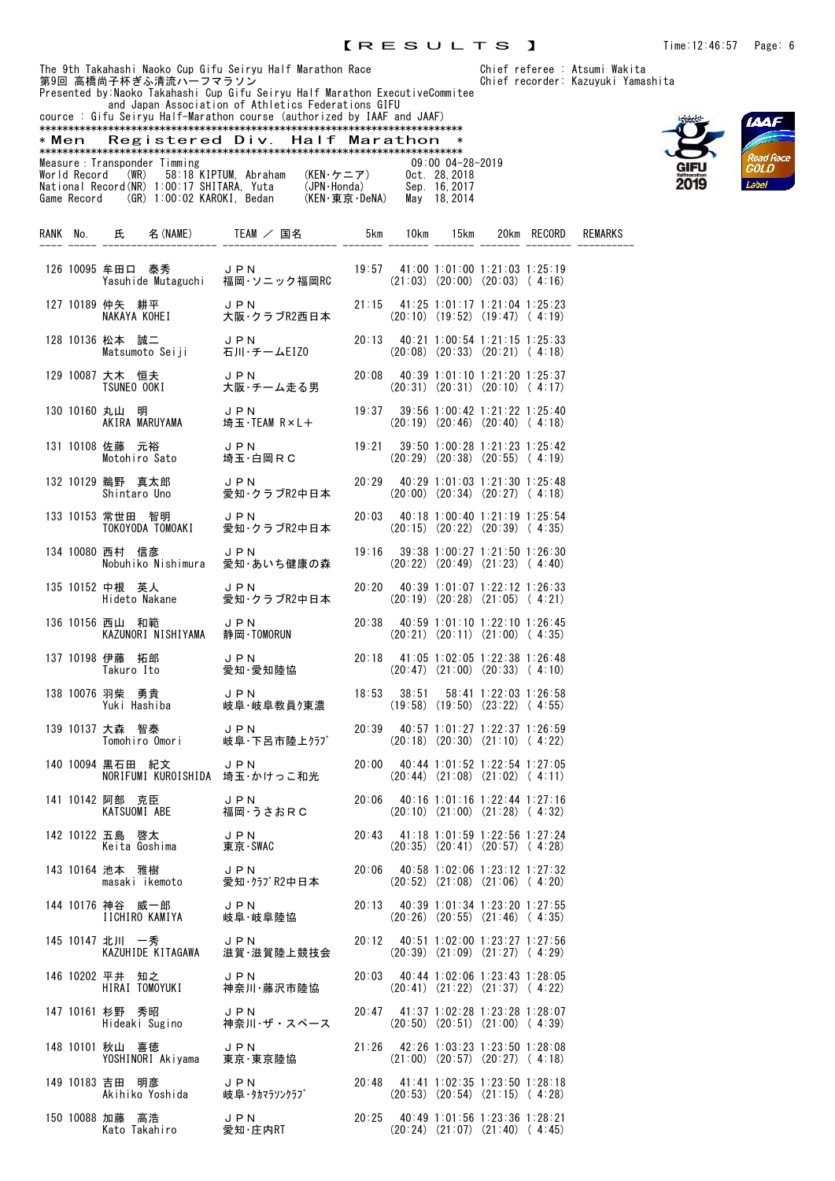Presented by:Naoko Takahashi Cup Gifu Seiryu Half Marathon ExecutiveCommitee and Japan Association of Athletics Federations GIFU



| cource : Gifu Seirvu Half-Marathon course (authorized by IAAF and JAAF) |                       |                                  |                      |        |                |
|-------------------------------------------------------------------------|-----------------------|----------------------------------|----------------------|--------|----------------|
|                                                                         |                       |                                  |                      |        |                |
| Registered Div. Half Marathon<br>* Men                                  |                       |                                  | ∗                    |        |                |
|                                                                         |                       |                                  |                      |        |                |
| Measure : Transponder Timming                                           |                       |                                  | $09:00$ $04-28-2019$ |        |                |
| World Record (WR) 58:18 KIPTUM Abraham                                  | (KEN・ケニア)             | Oct. 28.2018                     |                      |        |                |
| National Record(NR) 1:00:17 SHITARA. Yuta                               |                       | (JPN·Honda)<br>Sep. 16, 2017     |                      |        |                |
| (GR) 1:00:02 KAROKI, Bedan<br>Game Record                               |                       | (KEN・東 京 · DeNA)<br>May 18, 2014 |                      |        |                |
|                                                                         |                       |                                  |                      |        |                |
|                                                                         |                       |                                  |                      |        |                |
| <b>RANK</b><br>名 (NAME)<br>No.<br>氏                                     | $TEAM$ $\angle$<br>国名 | 10km<br>5km                      | 15km<br>20km         | RECORD | <b>REMARKS</b> |
|                                                                         |                       |                                  |                      |        |                |
|                                                                         |                       |                                  |                      |        |                |

|  | 126 10095 牟田口 泰秀<br>Yasuhide Mutaguchi                               | JPN<br>福岡·ソニック福岡RC      |       |                 | 19:57 41:00 1:01:00 1:21:03 1:25:19<br>$(21:03)$ $(20:00)$ $(20:03)$ $(4:16)$           |  |
|--|----------------------------------------------------------------------|-------------------------|-------|-----------------|-----------------------------------------------------------------------------------------|--|
|  | 127 10189 仲矢 耕平<br>仲矢 耕平 J P N<br>NAKAYA KOHEI 大阪・ク                  | 大阪·クラブR2西日本             |       |                 | 21:15 41:25 1:01:17 1:21:04 1:25:23<br>$(20:10)$ $(19:52)$ $(19:47)$ $(4:19)$           |  |
|  | 128 10136 松本 誠二<br>Matsumoto Seiji 石川·チームEIZO                        | JPN                     |       |                 | 20:13 40:21 1:00:54 1:21:15 1:25:33<br>$(20:08)$ $(20:33)$ $(20:21)$ $(4:18)$           |  |
|  | 129 10087 大木 恒夫<br>TSUNEO OOKI                                       | JPN<br>大阪・チーム走る男        |       |                 | 20:08 40:39 1:01:10 1:21:20 1:25:37<br>$(20:31)$ $(20:31)$ $(20:10)$ $(4:17)$           |  |
|  | 130 10160 丸山 明<br>メL山 明<br>AKIRA MARUYAMA                            | JPN<br>埼玉・TEAM R×L+     |       |                 | $19:37$ $39:56$ 1:00:42 1:21:22 1:25:40<br>$(20:19)$ $(20:46)$ $(20:40)$ $(4:18)$       |  |
|  | 131 10108 佐藤 元裕<br>Motohiro Sato                                     | JPN<br>埼玉・白岡RC          | 19:21 |                 | 39:50 1:00:28 1:21:23 1:25:42<br>$(20:29)$ $(20:38)$ $(20:55)$ $(4:19)$                 |  |
|  | 132 10129 鵜野 真太郎<br>JPN<br>愛知・ク<br>Shintaro Uno                      | 愛知·クラブR2中日本             | 20:29 |                 | 40:29 1:01:03 1:21:30 1:25:48<br>$(20:00)$ $(20:34)$ $(20:27)$ $(4:18)$                 |  |
|  | 133 10153 常世田 智明<br>TOKOYODA TOMOAKI                                 | J P N<br>愛知·クラブR2中日本    | 20:03 |                 | 40:18 1:00:40 1:21:19 1:25:54<br>$(20:15)$ $(20:22)$ $(20:39)$ $(4:35)$                 |  |
|  | 134 10080 西村 信彦<br>Nobuhiko Nishimura                                | JPN<br>愛知・あいち健康の森       |       |                 | $19:16$ $39:38$ $1:00:27$ $1:21:50$ $1:26:30$<br>$(20:22)$ $(20:49)$ $(21:23)$ $(4:40)$ |  |
|  | 135 10152 中根 英人<br>屮恨 央人<br>Hideto Nakane                            | JPN<br>愛知·クラブR2中日本      |       |                 | 20:20 40:39 1:01:07 1:22:12 1:26:33<br>$(20:19)$ $(20:28)$ $(21:05)$ $(4:21)$           |  |
|  | 136 10156 西山 和範<br>KAZUNORI NISHIYAMA                                | JPN<br>静岡 TOMORUN       |       |                 | 20:38 40:59 1:01:10 1:22:10 1:26:45<br>$(20:21)$ $(20:11)$ $(21:00)$ $(4:35)$           |  |
|  | 137 10198 伊藤 拓郎<br>Takuro Ito                                        | JPN<br>愛知·愛知陸協          |       |                 | 20:18 41:05 1:02:05 1:22:38 1:26:48<br>$(20:47)$ $(21:00)$ $(20:33)$ $(4:10)$           |  |
|  | 138 10076 羽柴 勇貴<br>Yuki Hashiba                                      | JPN<br>岐阜·岐阜教員ク東濃       |       | $18:53$ $38:51$ | 58:41 1:22:03 1:26:58<br>$(19:58)$ $(19:50)$ $(23:22)$ $(4:55)$                         |  |
|  | 139 10137 大森 智泰<br>Tomohiro Omori 岐阜·下呂市陸上クラブ                        | JPN                     |       |                 | 20:39 40:57 1:01:27 1:22:37 1:26:59<br>$(20:18)$ $(20:30)$ $(21:10)$ $(4:22)$           |  |
|  | 140 10094 黒石田 紀文<br>NORIFUMI KUROISHIDA 埼玉·かけっこ和光                    | J P N                   | 20:00 |                 | 40:44 1:01:52 1:22:54 1:27:05<br>$(20:44)$ $(21:08)$ $(21:02)$ $(4:11)$                 |  |
|  | 141 10142 阿部 克臣<br>KATSUOMI ABE                                      | JPN<br>福岡·うさおRC         | 20:06 |                 | 40:16 1:01:16 1:22:44 1:27:16<br>$(20:10)$ $(21:00)$ $(21:28)$ $(4:32)$                 |  |
|  | 142 10122 五島 啓太<br><i>」。  </i> 啓太      JPN<br>Keita Goshima    東京・Sl | 東京·SWAC                 | 20:43 |                 | 41:18 1:01:59 1:22:56 1:27:24<br>$(20:35)$ $(20:41)$ $(20:57)$ $(4:28)$                 |  |
|  | 143 10164 池本<br>雅樹<br>masaki ikemoto                                 | J P N<br>愛知·クラブR2中日本    |       |                 | 20:06 40:58 1:02:06 1:23:12 1:27:32<br>$(20:52)$ $(21:08)$ $(21:06)$ $(4:20)$           |  |
|  | 144 10176 神谷 威一郎<br>IICHIRO KAMIYA                                   | JPN<br>岐阜·岐阜陸協          |       |                 | 20:13 40:39 1:01:34 1:23:20 1:27:55<br>$(20:26)$ $(20:55)$ $(21:46)$ $(4:35)$           |  |
|  | 145 10147 北川 一秀<br>KAZUHIDE KITAGAWA                                 | JPN<br>滋賀·滋賀陸上競技会       |       |                 | 20:12 40:51 1:02:00 1:23:27 1:27:56<br>$(20:39)$ $(21:09)$ $(21:27)$ $(4:29)$           |  |
|  | 146 10202 平井 知之<br>HIRAI TOMOYUKI                                    | <b>JPN</b><br>神奈川・藤沢市陸協 |       |                 | 20:03 40:44 1:02:06 1:23:43 1:28:05<br>$(20:41)$ $(21:22)$ $(21:37)$ $(4:22)$           |  |
|  | 147 10161 杉野 秀昭<br>Hideaki Sugino                                    | JPN<br>神奈川・ザ・スペース       |       |                 | 20:47 41:37 1:02:28 1:23:28 1:28:07<br>$(20:50)$ $(20:51)$ $(21:00)$ $(4:39)$           |  |
|  | 148 10101 秋山 喜徳<br>YOSHINORI Akiyama                                 | JPN<br>東京·東京陸協          |       |                 | 21:26 42:26 1:03:23 1:23:50 1:28:08<br>$(21:00)$ $(20:57)$ $(20:27)$ $(4:18)$           |  |
|  | 149 10183 吉田 明彦<br>Akihiko Yoshida                                   | J P N<br>岐阜・タカマラソンクラブ   |       |                 | 20:48 41:41 1:02:35 1:23:50 1:28:18<br>$(20:53)$ $(20:54)$ $(21:15)$ $(4:28)$           |  |
|  | 150 10088 加藤 高浩<br>Kato Takahiro                                     | JPN<br>愛知·庄内RT          |       |                 | 20:25 40:49 1:01:56 1:23:36 1:28:21<br>$(20:24)$ $(21:07)$ $(21:40)$ $(4:45)$           |  |

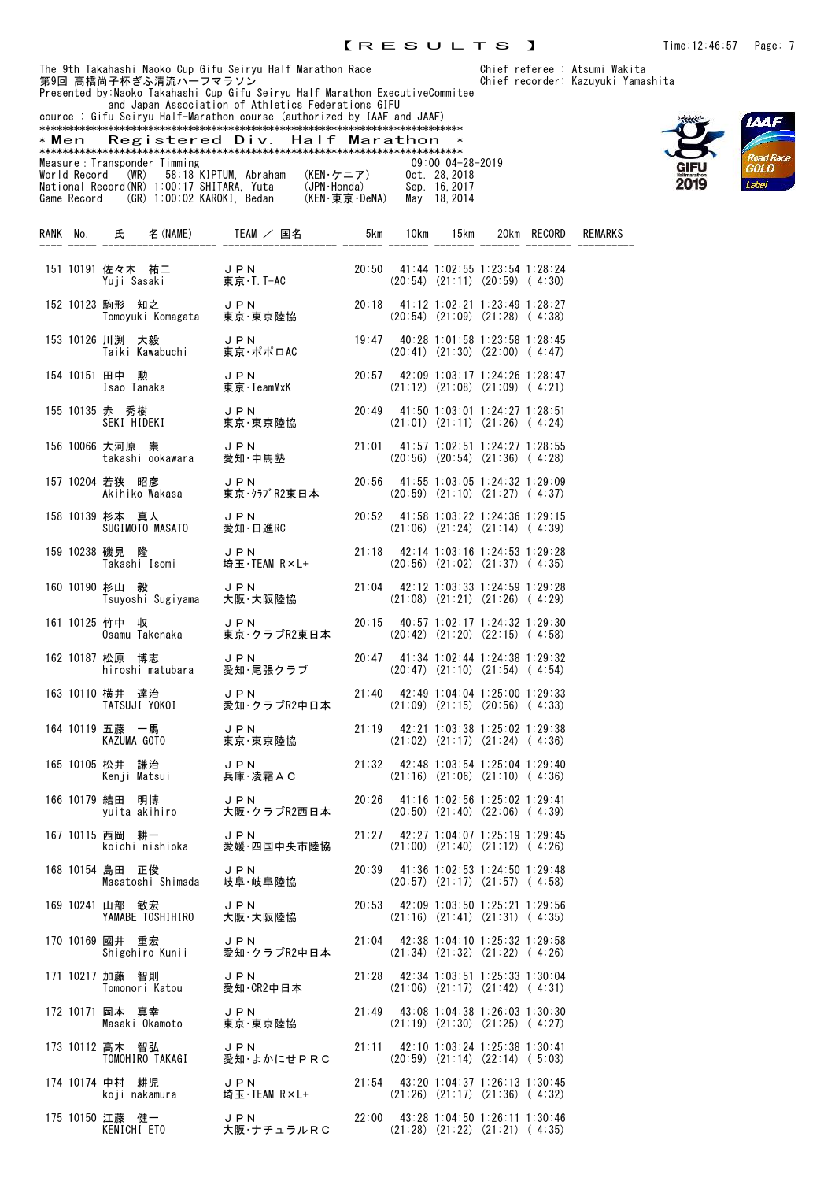and Japan Association of Athletics Federations GIFU



|                                            | cource : Gifu Seiryu Half-Marathon course (authorized by IAAF and JAAF) |               |                      |
|--------------------------------------------|-------------------------------------------------------------------------|---------------|----------------------|
|                                            |                                                                         |               |                      |
| * Men                                      | Registered Div. Half Marathon                                           |               | ∗                    |
|                                            |                                                                         |               |                      |
| Measure : Transponder Timming              |                                                                         |               | $09:00$ $04-28-2019$ |
| World Record (WR) 58:18 KIPTUM. Abraham    |                                                                         | (KEN・ケニア)     | Oct. 28.2018         |
| National Record (NR) 1:00:17 SHITARA. Yuta |                                                                         | (JPN·Honda)   | Sep. 16.2017         |
| Game Record (GR) 1:00:02 KAROKI. Bedan     |                                                                         | (KEN·東京·DeNA) | May 18, 2014         |
|                                            |                                                                         |               |                      |
|                                            |                                                                         |               |                      |

|  |                                                                   | RANK No. 氏 名(NAME) TEAM / 国名 5km 10km 15km                                                                                          |  |                                                                                   | 20km RECORD | REMARKS |
|--|-------------------------------------------------------------------|-------------------------------------------------------------------------------------------------------------------------------------|--|-----------------------------------------------------------------------------------|-------------|---------|
|  | 151 10191 佐々木 祐二 JPN<br>Yuji Sasaki 東京·T.                         | J P N<br>東京・T. T-AC                                                                                                                 |  | 20:50 41:44 1:02:55 1:23:54 1:28:24<br>$(20:54)$ $(21:11)$ $(20:59)$ $(4:30)$     |             |         |
|  | 152 10123 駒形 知之      J P N<br>Tomoyuki Komagata  東京·東京陸協          |                                                                                                                                     |  | 20:18 41:12 1:02:21 1:23:49 1:28:27<br>$(20:54)$ $(21:09)$ $(21:28)$ $(4:38)$     |             |         |
|  | 153 10126 川渕 大毅<br>川渕 大毅      J P N<br>Taiki Kawabuchi   東京・ポポロAC |                                                                                                                                     |  | 19:47 40:28 1:01:58 1:23:58 1:28:45<br>$(20:41)$ $(21:30)$ $(22:00)$ $(4:47)$     |             |         |
|  | 154 10151 田中の勲<br>田中 勲       J P N<br>Isao Tanaka     東京·TeamMxK  |                                                                                                                                     |  | 20:57 42:09 1:03:17 1:24:26 1:28:47<br>$(21:12)$ $(21:08)$ $(21:09)$ $(4:21)$     |             |         |
|  | 155 10135 赤 秀樹      JPN<br>SEKI HIDEKI     東京·東京陸協                |                                                                                                                                     |  | 20:49 41:50 1:03:01 1:24:27 1:28:51<br>$(21:01)$ $(21:11)$ $(21:26)$ $(4:24)$     |             |         |
|  |                                                                   | 156 10066 大河原 崇      J P N<br>takashi ookawara   愛知・中馬塾                                                                             |  | 21:01 41:57 1:02:51 1:24:27 1:28:55<br>$(20:56)$ $(20:54)$ $(21:36)$ $(4:28)$     |             |         |
|  | 157 10204 若狭 昭彦 リ D N<br>Akihiko Wakasa 東京・クラ                     | JPN 20:56 41:55 1:03:05 1:24:32 1:29:09<br>東京・クラブR2東日本 (20:59) (21:10) (21:27) (4:37)                                               |  |                                                                                   |             |         |
|  | 158 10139 杉本 真人 コ ロ コ コ コ コ ロ N<br>SUGIMOTO MASATO                | 愛知·日進RC                                                                                                                             |  | 20:52 41:58 1:03:22 1:24:36 1:29:15<br>$(21:06)$ $(21:24)$ $(21:14)$ $(4:39)$     |             |         |
|  | 159 10238 磯見 隆                                                    | 磯見 隆       JPN        21:1<br>Takashi Isomi    埼玉・TEAM R×L+                                                                         |  | 21:18 42:14 1:03:16 1:24:53 1:29:28<br>$(20:56)$ $(21:02)$ $(21:37)$ $(4:35)$     |             |         |
|  | 160 10190 杉山 毅<br>杉山 毅<br>Tsuyoshi Sugiyama                       | J P N<br>大阪・大阪陸協                                                                                                                    |  | $21:04$ 42:12 1:03:33 1:24:59 1:29:28<br>$(21:08)$ $(21:21)$ $(21:26)$ $(4:29)$   |             |         |
|  | 161 10125 竹中 収                                                    | 竹中 収       JPN<br>Osamu Takenaka    東京・クラブR2東日本                                                                                     |  | $20:15$ $40:57$ 1:02:17 1:24:32 1:29:30<br>$(20:42)$ $(21:20)$ $(22:15)$ $(4:58)$ |             |         |
|  | 162 10187 松原 博志<br>松原 博志 JPN<br>hiroshi matubara 愛知·尾             | JPN<br>愛知・尾張クラブ                                                                                                                     |  | 20:47 41:34 1:02:44 1:24:38 1:29:32<br>$(20:47)$ $(21:10)$ $(21:54)$ $(4:54)$     |             |         |
|  |                                                                   | 163 10110 横井 達治      J P N<br>TATSUJI YOKOI    愛知・クラブR2中日本                                                                          |  | 21:40 42:49 1:04:04 1:25:00 1:29:33<br>$(21:09)$ $(21:15)$ $(20:56)$ $(4:33)$     |             |         |
|  |                                                                   | 164 10119 五藤 一馬      J P N<br>KAZUMA GOTO     東京・東京陸協                                                                               |  | 21:19 42:21 1:03:38 1:25:02 1:29:38<br>$(21:02)$ $(21:17)$ $(21:24)$ $(4:36)$     |             |         |
|  |                                                                   | 165 10105 松井 謙治      JPN        21:32 42:48 1:03:54 1:25:04 1:29:40<br>Kenji Matsui    兵庫·凌霜AC       (21:16) (21:06) (21:10) (4:36) |  |                                                                                   |             |         |
|  |                                                                   | 166 10179 結田 明博 JPN 20:26 41:16 1:02:56 1:25:02 1:29:41<br>yuita akihiro 大阪・クラブR2西日本 (20:50) (21:40) (22:06) (4:39)                 |  |                                                                                   |             |         |
|  |                                                                   | 愛媛·四国中央市陸協                                                                                                                          |  | 21:27 42:27 1:04:07 1:25:19 1:29:45<br>$(21:00)$ $(21:40)$ $(21:12)$ $(4:26)$     |             |         |
|  | 168 10154 島田 正俊<br>Masatoshi Shimada                              | JPN<br>岐阜·岐阜陸協                                                                                                                      |  | 20:39 41:36 1:02:53 1:24:50 1:29:48<br>$(20:57)$ $(21:17)$ $(21:57)$ $(4:58)$     |             |         |
|  | 169 10241 山部 敏宏<br>YAMABE TOSHIHIRO                               | JPN<br>大阪・大阪陸協                                                                                                                      |  | 20:53 42:09 1:03:50 1:25:21 1:29:56<br>$(21:16)$ $(21:41)$ $(21:31)$ $(4:35)$     |             |         |
|  | 170 10169 國井 重宏<br>Shigehiro Kunii                                | JPN<br>愛知·クラブR2中日本                                                                                                                  |  | $21:04$ 42:38 1:04:10 1:25:32 1:29:58<br>$(21:34)$ $(21:32)$ $(21:22)$ $(4:26)$   |             |         |
|  | 171 10217 加藤 智則<br>Tomonori Katou                                 | JPN<br>愛知·CR2中日本                                                                                                                    |  | 21:28 42:34 1:03:51 1:25:33 1:30:04<br>$(21:06)$ $(21:17)$ $(21:42)$ $(4:31)$     |             |         |
|  | 172 10171 岡本 真幸<br>Masaki Okamoto                                 | JPN<br>東京·東京陸協                                                                                                                      |  | 21:49 43:08 1:04:38 1:26:03 1:30:30<br>$(21:19)$ $(21:30)$ $(21:25)$ $(4:27)$     |             |         |
|  | 173 10112 高木 智弘<br>TOMOHIRO TAKAGI                                | JPN<br>愛知・よかにせPRC                                                                                                                   |  | 21:11 42:10 1:03:24 1:25:38 1:30:41<br>$(20:59)$ $(21:14)$ $(22:14)$ $(5:03)$     |             |         |
|  | 174 10174 中村 耕児<br>koji nakamura                                  | JPN<br>埼玉・TEAM R×L+                                                                                                                 |  | $21:54$ 43:20 1:04:37 1:26:13 1:30:45<br>$(21:26)$ $(21:17)$ $(21:36)$ $(4:32)$   |             |         |
|  | 175 10150 江藤 健一<br>KENICHI ETO                                    | JPN<br>大阪・ナチュラルRC                                                                                                                   |  | 22:00 43:28 1:04:50 1:26:11 1:30:46<br>$(21:28)$ $(21:22)$ $(21:21)$ $(4:35)$     |             |         |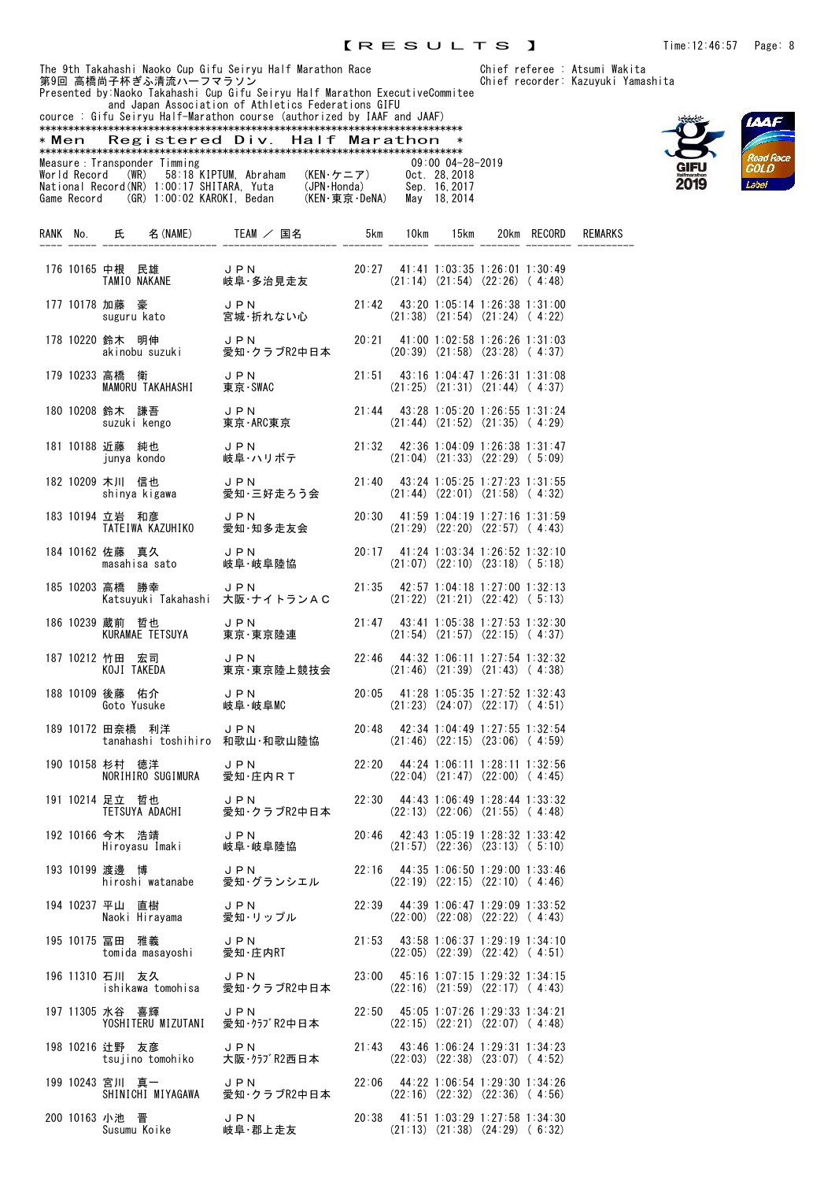Presented by:Naoko Takahashi Cup Gifu Seiryu Half Marathon ExecutiveCommitee and Japan Association of Athletics Federations GIFU





|                                                                                                                                                                                                                                                                                                                                                                                                                                                                                      |                      |  |  |  |  |  | * |  |  |  |
|--------------------------------------------------------------------------------------------------------------------------------------------------------------------------------------------------------------------------------------------------------------------------------------------------------------------------------------------------------------------------------------------------------------------------------------------------------------------------------------|----------------------|--|--|--|--|--|---|--|--|--|
|                                                                                                                                                                                                                                                                                                                                                                                                                                                                                      | $09:00$ $04-28-2019$ |  |  |  |  |  |   |  |  |  |
| cource : Gifu Seiryu Half-Marathon course (authorized by IAAF and JAAF)<br>Registered Div. Half Marathon<br>* Men<br>Measure : Transponder Timming<br>World Record (WR) 58:18 KIPTUM. Abraham<br>(KEN・ケニア)<br>Oct. 28.2018<br>National Record(NR) 1:00:17 SHITARA, Yuta<br>(JPN·Honda)<br>Sep. 16, 2017<br>(KEN·東京·DeNA)<br>Game Record (GR) 1:00:02 KAROKI. Bedan<br>May 18.2014<br><b>REMARKS</b><br>名 (NAME)<br>TEAM ∕<br>15km<br>RFCORD<br>国名<br>lOkm<br>20km<br>5km<br>氏<br>No. |                      |  |  |  |  |  |   |  |  |  |
|                                                                                                                                                                                                                                                                                                                                                                                                                                                                                      |                      |  |  |  |  |  |   |  |  |  |
|                                                                                                                                                                                                                                                                                                                                                                                                                                                                                      |                      |  |  |  |  |  |   |  |  |  |
|                                                                                                                                                                                                                                                                                                                                                                                                                                                                                      |                      |  |  |  |  |  |   |  |  |  |
|                                                                                                                                                                                                                                                                                                                                                                                                                                                                                      |                      |  |  |  |  |  |   |  |  |  |
|                                                                                                                                                                                                                                                                                                                                                                                                                                                                                      |                      |  |  |  |  |  |   |  |  |  |
| RANK                                                                                                                                                                                                                                                                                                                                                                                                                                                                                 |                      |  |  |  |  |  |   |  |  |  |
|                                                                                                                                                                                                                                                                                                                                                                                                                                                                                      |                      |  |  |  |  |  |   |  |  |  |

|  | 176 10165 中根 民雄<br>中根 民雄<br>TAMIO NAKANE                                           |                                                   |       |  | 20:27 41:41 1:03:35 1:26:01 1:30:49<br>$(21:14)$ $(21:54)$ $(22:26)$ $(4:48)$           |  |
|--|------------------------------------------------------------------------------------|---------------------------------------------------|-------|--|-----------------------------------------------------------------------------------------|--|
|  | 177 10178 加藤 豪<br>加藤 豪 しいのは J P N<br>suguru kato 宮城・折れない心                          |                                                   |       |  | 21:42 43:20 1:05:14 1:26:38 1:31:00<br>$(21:38)$ $(21:54)$ $(21:24)$ $(4:22)$           |  |
|  | 178 10220 鈴木 明伸<br><sub>w</sub> 』へ 明伸 - JPN<br>akinobusuzuki - 愛知・ク                | 愛知·クラブR2中日本                                       |       |  | 20:21 41:00 1:02:58 1:26:26 1:31:03<br>$(20:39)$ $(21:58)$ $(23:28)$ $(4:37)$           |  |
|  | 179 10233 高橋 衛<br>MAMORU TAKAHASHI 東京·SWAC                                         | JPN                                               |       |  | $21:51$ 43:16 1:04:47 1:26:31 1:31:08<br>$(21:25)$ $(21:31)$ $(21:44)$ $(4:37)$         |  |
|  | 180 10208 鈴木 謙吾<br><sub>邺7 ベ</sub> <sub>邺7 ベ</sub> ホーム JPN<br>suzukikengo 東京·ARC東京 |                                                   |       |  | $21:44$ $43:28$ 1:05:20 1:26:55 1:31:24<br>$(21:44)$ $(21:52)$ $(21:35)$ $(4:29)$       |  |
|  | 181 10188 近藤 純也                                                                    | JPN<br>岐阜・ハリボテ                                    |       |  | $21:32$ $42:36$ $1:04:09$ $1:26:38$ $1:31:47$<br>$(21:04)$ $(21:33)$ $(22:29)$ $(5:09)$ |  |
|  | 182 10209 木川 信也<br>木川 信也 JPN<br>shinya kigawa 愛知・三好走ろう会                            |                                                   |       |  | 21:40 43:24 1:05:25 1:27:23 1:31:55<br>$(21:44)$ $(22:01)$ $(21:58)$ $(4:32)$           |  |
|  | 183 10194 立岩 和彦<br>J P N<br>TATEIWA KAZUHIKO                                       | 愛知·知多走友会                                          |       |  | 20:30 41:59 1:04:19 1:27:16 1:31:59<br>$(21:29)$ $(22:20)$ $(22:57)$ $(4:43)$           |  |
|  | 184 10162 佐藤 真久<br>masahisa sato                                                   | JPN<br>JPN<br>岐阜・岐阜陸協                             |       |  | 20:17 41:24 1:03:34 1:26:52 1:32:10<br>$(21:07)$ $(22:10)$ $(23:18)$ $(5:18)$           |  |
|  | 185 10203 高橋 勝幸                                                                    | JPN<br>Katsuyuki Takahashi 大阪·ナイトランAC             |       |  | 21:35 42:57 1:04:18 1:27:00 1:32:13<br>$(21:22)$ $(21:21)$ $(22:42)$ $(5:13)$           |  |
|  | 186 10239 蔵前 哲也<br>KURAMAE TETSUYA                                                 | ,<br>東京·東京陸連                                      |       |  | $21:47$ $43:41$ $1:05:38$ $1:27:53$ $1:32:30$<br>$(21:54)$ $(21:57)$ $(22:15)$ $(4:37)$ |  |
|  | 187 10212 竹田 宏司                                                                    | JPN<br>東京·東京陸上競技会                                 |       |  | $22:46$ $44:32$ 1:06:11 1:27:54 1:32:32<br>$(21:46)$ $(21:39)$ $(21:43)$ $(4:38)$       |  |
|  | 188 10109 後藤 佑介 JPN<br>Goto Yusuke     岐阜・                                         | 岐阜·岐阜MC                                           |       |  | 20:05 41:28 1:05:35 1:27:52 1:32:43<br>$(21:23)$ $(24:07)$ $(22:17)$ $(4:51)$           |  |
|  | 189 10172 田奈橋 利洋<br>tanahashi toshihiro 和歌山·和歌山陸協                                  | J P N                                             | 20:48 |  | 42:34 1:04:49 1:27:55 1:32:54<br>$(21:46)$ $(22:15)$ $(23:06)$ $(4:59)$                 |  |
|  | 杉村 徳洋 JPN<br>NORIHIRO SUGIMURA 愛知・庄内RT<br>190 10158 杉村 徳洋                          |                                                   |       |  | 22:20 44:24 1:06:11 1:28:11 1:32:56<br>$(22:04)$ $(21:47)$ $(22:00)$ $(4:45)$           |  |
|  | 191 10214 足立 哲也                                                                    | 足立 哲也      J P N<br>TETSUYA ADACHI    愛知・クラブR2中日本 |       |  | $22:30$ 44:43 1:06:49 1:28:44 1:33:32<br>$(22:13)$ $(22:06)$ $(21:55)$ $(4:48)$         |  |
|  | 192 10166 今木 浩靖<br>今木 浩靖 しアN しい しょう しゅうしょう しょうしょう                                  |                                                   |       |  | 20:46 42:43 1:05:19 1:28:32 1:33:42<br>$(21:57)$ $(22:36)$ $(23:13)$ $(5:10)$           |  |
|  | 193 10199 渡邊 博<br><b>UPN</b><br>hiroshi watanabe                                   | 愛知・グランシエル                                         |       |  | 22:16 44:35 1:06:50 1:29:00 1:33:46<br>$(22:19)$ $(22:15)$ $(22:10)$ $(4:46)$           |  |
|  | 194 10237 平山 直樹<br>Naoki Hirayama                                                  | JPN<br>愛知・リップル                                    |       |  | 22:39 44:39 1:06:47 1:29:09 1:33:52<br>$(22:00)$ $(22:08)$ $(22:22)$ $(4:43)$           |  |
|  | 195 10175 冨田 雅義<br>tomida masayoshi                                                | JPN<br>愛知·庄内RT                                    |       |  | $21:53$ 43:58 1:06:37 1:29:19 1:34:10<br>$(22:05)$ $(22:39)$ $(22:42)$ $(4:51)$         |  |
|  | 196 11310 石川 友久<br>ishikawa tomohisa                                               | J P N<br>愛知·クラブR2中日本                              |       |  | 23:00 45:16 1:07:15 1:29:32 1:34:15<br>$(22:16)$ $(21:59)$ $(22:17)$ $(4:43)$           |  |
|  | 197 11305 水谷 喜輝<br>YOSHITERU MIZUTANI                                              | JPN<br>愛知·クラブR2中日本                                |       |  | 22:50 45:05 1:07:26 1:29:33 1:34:21<br>$(22:15)$ $(22:21)$ $(22:07)$ $(4:48)$           |  |
|  | 198 10216 辻野 友彦<br>tsujino tomohiko                                                | JPN<br>大阪・クラブR2西日本                                |       |  | 21:43 43:46 1:06:24 1:29:31 1:34:23<br>$(22:03)$ $(22:38)$ $(23:07)$ $(4:52)$           |  |
|  | 199 10243 宮川 真一 JPN<br>SHINICHI MIYAGAWA                                           | 愛知・クラブR2中日本                                       |       |  | 22:06 44:22 1:06:54 1:29:30 1:34:26<br>$(22:16)$ $(22:32)$ $(22:36)$ $(4:56)$           |  |
|  | 200 10163 小池 晋<br>Susumu Koike                                                     | JPN<br>岐阜·郡上走友                                    |       |  | 20:38 41:51 1:03:29 1:27:58 1:34:30<br>$(21:13)$ $(21:38)$ $(24:29)$ $(6:32)$           |  |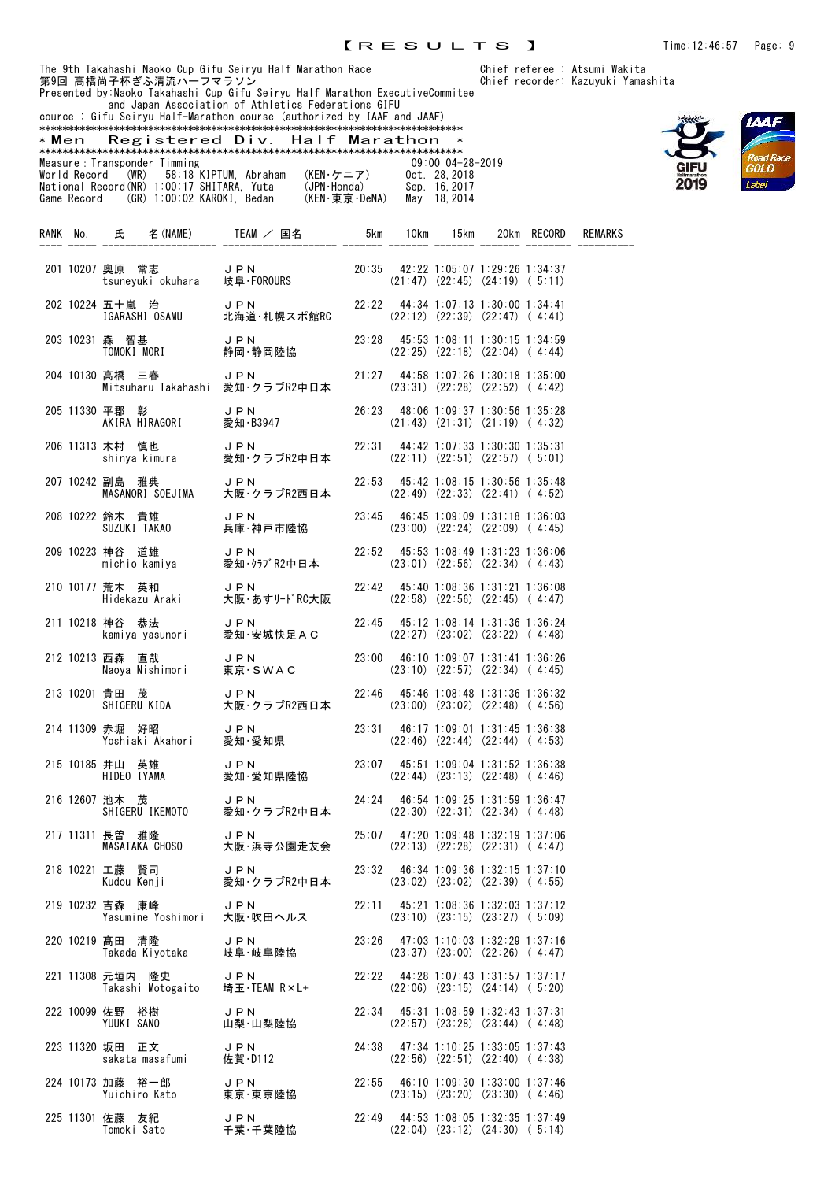and Japan Association of Athletics Federations GIFU



|       | 第9回 高橋尚子杯ぎふ清流ハーフマラソン                                                    | The 9th Takahashi Naoko Cup Gifu Seiryu Half Marathon Race<br>第9回 京橋尚子杯ギミ清流ハーフマラソン<br>Presented by Naoko Takahashi Cup Gifu Seiryu Half Marathon ExecutiveCommitee |  |                                                                                 |  | Chief referee : Atsumi Wakita<br>Chief recorder: Kazuyuki Yamashita |
|-------|-------------------------------------------------------------------------|--------------------------------------------------------------------------------------------------------------------------------------------------------------------|--|---------------------------------------------------------------------------------|--|---------------------------------------------------------------------|
|       |                                                                         | and Japan Association of Athletics Federations GIFU<br>cource: Gifu Seiryu Half-Marathon course (authorized by IAAF and JAAF)                                      |  |                                                                                 |  |                                                                     |
| * Men |                                                                         | Registered Div. Half Marathon                                                                                                                                      |  | $\ast$                                                                          |  |                                                                     |
|       | Measure: Transponder Timming                                            |                                                                                                                                                                    |  | 09:00 04-28-2019                                                                |  |                                                                     |
|       |                                                                         | RANK No. 氏 名(NAME) TEAM / 国名 5km 10km 15km 20km RECORD REMARKS                                                                                                     |  |                                                                                 |  |                                                                     |
|       |                                                                         | - 201 10207 奥原 常志 - JPN 20:35 42:22 1:05:07 1:29:26 1:34:37<br>- tsuneyuki okuhara 岐阜·FOROURS - (21:47) (22:45) (24:19) (5:11)                                     |  |                                                                                 |  |                                                                     |
|       |                                                                         | 202 10224 五十嵐 治 J P N 22:22 44:34 1:07:13 1:30:00 1:34:41<br>【GARASHI OSAMU 北海道·札幌スポ館RC (22:12) (22:39) (22:47) (4:41)                                             |  |                                                                                 |  |                                                                     |
|       |                                                                         | 203 10231 森 智基       J P N         23:28  45:53 1:08:11 1:30:15 1:34:59<br>TOMOKI MORI      静岡·静岡陸協           (22:25) (22:18) (22:04) (4:44)                       |  |                                                                                 |  |                                                                     |
|       | 204 10130 高橋 三春                                                         |                                                                                                                                                                    |  |                                                                                 |  |                                                                     |
|       | 205 11330 平郡 彰                                                          |                                                                                                                                                                    |  |                                                                                 |  |                                                                     |
|       |                                                                         | 206 11313 木村 慎也      J P N         22:31  44:42 1:07:33 1:30:30 1:35:31<br>shinya kimura    愛知・クラブR2中日本      (22:11) (22:51)(22:57)(5:01)                          |  |                                                                                 |  |                                                                     |
|       |                                                                         | 207 10242 副島 雅典 JPN 22:53 45:42 1:08:15 1:30:56 1:35:48<br>MASANORI SOEJIMA 大阪・クラブR2西日本 (22:49) (22:33) (22:41) (4:52)                                             |  |                                                                                 |  |                                                                     |
|       |                                                                         | 208 10222 鈴木 貴雄      J P N         23:45  46:45 1:09:09 1:31:18 1:36:03<br>SUZUKI TAKA0     兵庫・神戸市陸協          (23:00) (22:24) (22:09) ( 4:45)                      |  |                                                                                 |  |                                                                     |
|       |                                                                         |                                                                                                                                                                    |  |                                                                                 |  |                                                                     |
|       |                                                                         | 210 10177 荒木 英和     J P N        22:42  45:40 1:08:36 1:31:21 1:36:08<br>Hidekazu Araki   大阪·あすリードRC大阪      (22:58) (22:56) (22:45) ( 4:47)                        |  |                                                                                 |  |                                                                     |
|       |                                                                         | 211 10218 神谷 恭法 JPN 22:45 45:12 1:08:14 1:31:36 1:36:24<br>kamiya yasunori 愛知·安城快足AC (22:27) (23:02) (23:22) (4:48)                                                |  |                                                                                 |  |                                                                     |
|       | 212 10213 西森 直哉                                                         | 西森 直哉     J P N          23:00  46:10 1:09:07 1:31:41 1:36:26<br>Naoya Nishimori    東京 · S W A C        (23:10) (22:57) (22:34) (4:45)                             |  |                                                                                 |  |                                                                     |
|       |                                                                         | 213 10201 貴田 茂 J P N<br>SHIGERU KIDA 大阪・クラブR2西日本                                                                                                                   |  | 22:46 45:46 1:08:48 1:31:36 1:36:32<br>$(23:00)$ $(23:02)$ $(22:48)$ $(4:56)$   |  |                                                                     |
|       |                                                                         | 214 11309 赤堀 好昭     J P N<br>Yoshiaki Akahori   愛知・愛知県                                                                                                             |  | 23:31 46:17 1:09:01 1:31:45 1:36:38<br>$(22:46)$ $(22:44)$ $(22:44)$ $(4:53)$   |  |                                                                     |
|       |                                                                         | 215 10185 井山 英雄 JPN 23:07 45:51 1:09:04 1:31:52 1:36:38<br>HIDEO IYAMA 愛知·愛知県陸協 (22:44) (23:13) (22:48) ( 4:46)                                                    |  |                                                                                 |  |                                                                     |
|       | 216 12607 池本 茂<br>SHIGERU IKEMOTO                                       | J P N<br>愛知・クラブR2中日本                                                                                                                                               |  | 24:24 46:54 1:09:25 1:31:59 1:36:47<br>$(22:30)$ $(22:31)$ $(22:34)$ $(4:48)$   |  |                                                                     |
|       | 217 11311 長曽 雅隆<br>MASATAKA CHOSO                                       | JPN<br>大阪·浜寺公園走友会                                                                                                                                                  |  | 25:07 47:20 1:09:48 1:32:19 1:37:06<br>$(22:13)$ $(22:28)$ $(22:31)$ $(4:47)$   |  |                                                                     |
|       | 218 10221 工藤 賢司<br>ーッ* 』= JPN<br>Kudou Kenji - 愛知・ク                     | 愛知·クラブR2中日本                                                                                                                                                        |  | $23:32$ 46:34 1:09:36 1:32:15 1:37:10<br>$(23:02)$ $(23:02)$ $(22:39)$ $(4:55)$ |  |                                                                     |
|       | 219 10232 吉森 康峰<br>吉森 康峰 - JPN<br>Yasumine Yoshimori 大阪・吹田ヘルス           | J P N                                                                                                                                                              |  | 22:11 45:21 1:08:36 1:32:03 1:37:12<br>$(23:10)$ $(23:15)$ $(23:27)$ $(5:09)$   |  |                                                                     |
|       | 220 10219 髙田 清隆<br>髙田 清隆            J P N<br>Takada Kiyotaka       岐阜・岐 | 岐阜·岐阜陸協                                                                                                                                                            |  | $23:26$ 47:03 1:10:03 1:32:29 1:37:16<br>$(23:37)$ $(23:00)$ $(22:26)$ $(4:47)$ |  |                                                                     |
|       | 221 11308 元垣内 隆史<br>Takashi Motogaito 埼玉·TEAM R×L+                      | J P N                                                                                                                                                              |  | $22:22$ 44:28 1:07:43 1:31:57 1:37:17<br>$(22:06)$ $(23:15)$ $(24:14)$ $(5:20)$ |  |                                                                     |
|       | 222 10099 佐野 裕樹<br>YUUKI SANO                                           | J P N<br>山梨·山梨陸協                                                                                                                                                   |  | 22:34 45:31 1:08:59 1:32:43 1:37:31<br>$(22:57)$ $(23:28)$ $(23:44)$ $(4:48)$   |  |                                                                     |
|       | 223 11320 坂田 正文     J PN<br>sakata masafumi   佐賀·D112                   |                                                                                                                                                                    |  | 24:38 47:34 1:10:25 1:33:05 1:37:43<br>$(22:56)$ $(22:51)$ $(22:40)$ $(4:38)$   |  |                                                                     |
|       | 224 10173 加藤 裕一郎 JPN<br>Yuichiro Kato 東京・東京陸協                           |                                                                                                                                                                    |  | 22:55 46:10 1:09:30 1:33:00 1:37:46<br>$(23:15)$ $(23:20)$ $(23:30)$ $(4:46)$   |  |                                                                     |

225 11301 佐藤 友紀 JPN 22:49 44:53 1:08:05 1:32:35 1:37:49

Tomoki Sato 千葉・千葉陸協 (22:04) (23:12) (24:30) ( 5:14)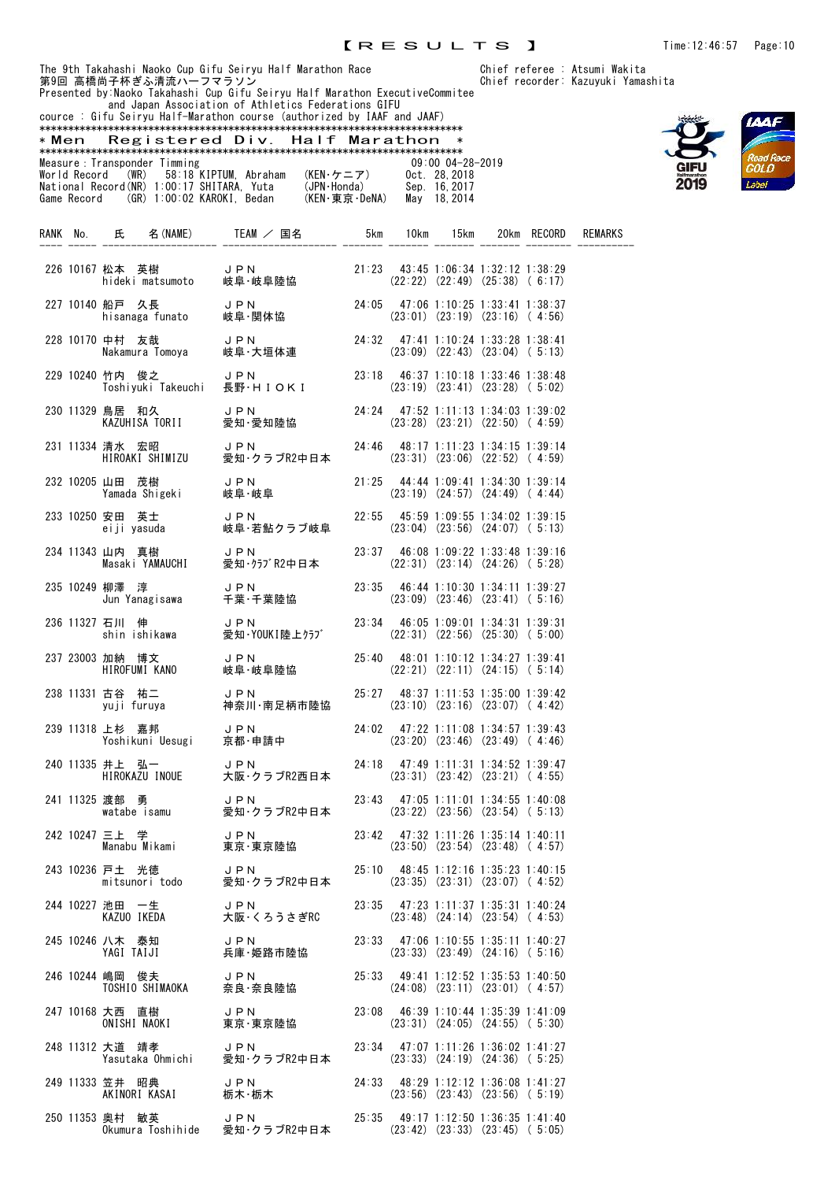$(22:21)$   $(22:11)$   $(24:15)$   $(5:14)$ 

 $(23:10)$   $(23:16)$   $(23:07)$   $(4:42)$ 

 $(23:20)$   $(23:46)$   $(23:49)$   $(4:46)$ 

 $(23:31)$   $(23:42)$   $(23:21)$   $(4:55)$ 

 $(23:50)$   $(23:54)$   $(23:48)$   $(4:57)$ 

 $(23:35)$   $(23:31)$   $(23:07)$   $(4:52)$ 

 $(23:48)$   $(24:14)$   $(23:54)$   $(4:53)$ 

 $(23:33)$   $(23:49)$   $(24:16)$   $(5:16)$ 

 $(24:08)$   $(23:11)$   $(23:01)$   $(4:57)$ 

 $(23:31)$   $(24:05)$   $(24:55)$   $(5:30)$ 

 $(23:33)$   $(24:19)$   $(24:36)$   $(5:25)$ 

 $(23:56)$   $(23:43)$   $(23:56)$   $(5:19)$ 

 $(23:42)$   $(23:33)$   $(23:45)$  ( 5:05)

<sup>t</sup>eree : Atsumi Wakita porder: Kazuyuki Yamashita





|       |              |                 | 第9回 高橋尚子杯ぎふ清流ハーフマラソン         | The 9th Takahashi Naoko Cup Gifu Seiryu Half Marathon Race<br>Presented by Naoko Takahashi Cup Gifu Seiryu Half Marathon ExecutiveCommitee<br>and Japan Association of Athletics Federations GIFU |               |          |                                       |                                                                               | Chief referee : Atsumi Waki<br>Chief recorder: Kazuyuki Ya |
|-------|--------------|-----------------|------------------------------|---------------------------------------------------------------------------------------------------------------------------------------------------------------------------------------------------|---------------|----------|---------------------------------------|-------------------------------------------------------------------------------|------------------------------------------------------------|
|       |              |                 |                              | cource: Gifu Seiryu Half-Marathon course (authorized by IAAF and JAAF)                                                                                                                            |               |          |                                       |                                                                               |                                                            |
| * Men |              |                 | Registered Div.              |                                                                                                                                                                                                   | Half Marathon |          | $\ast$                                |                                                                               |                                                            |
|       |              |                 |                              |                                                                                                                                                                                                   |               |          |                                       |                                                                               |                                                            |
|       |              |                 | Measure: Transponder Timming | (WR)   58:18 KIPTUM, Abraham                                                                                                                                                                      | (KEN・ケニア)     |          | $09:00$ $04-28-2019$<br>Oct. 28, 2018 |                                                                               |                                                            |
|       | World Record |                 |                              |                                                                                                                                                                                                   |               |          | Sep. 16, 2017                         |                                                                               |                                                            |
|       |              |                 |                              | National Record(NR) 1:00:17 SHITARA, Yuta (JPN·Honda)<br>Game Record (GR) 1:00:02 KAROKI, Bedan (KEN·東京·DeNA)                                                                                     |               |          | May 18, 2014                          |                                                                               |                                                            |
|       |              |                 |                              |                                                                                                                                                                                                   |               |          |                                       |                                                                               |                                                            |
|       |              |                 | RANK No. 氏 名 (NAME)          | TEAM / 国名                                                                                                                                                                                         |               | 5km 10km | 15km                                  | 20km RECORD                                                                   | <b>REMARKS</b>                                             |
|       |              |                 |                              |                                                                                                                                                                                                   |               |          |                                       |                                                                               |                                                            |
|       |              | 226 10167 松本 英樹 |                              | J P N                                                                                                                                                                                             |               |          |                                       | 21:23 43:45 1:06:34 1:32:12 1:38:29                                           |                                                            |
|       |              |                 | hideki matsumoto             | 岐阜·岐阜陸協                                                                                                                                                                                           |               |          |                                       | $(22:22)$ $(22:49)$ $(25:38)$ $(6:17)$                                        |                                                            |
|       |              |                 |                              |                                                                                                                                                                                                   |               |          |                                       |                                                                               |                                                            |
|       |              | 227 10140 船戸 久長 | hisanaga funato              | J P N<br>岐阜·関体協                                                                                                                                                                                   |               |          |                                       | 24:05 47:06 1:10:25 1:33:41 1:38:37<br>$(23:01)$ $(23:19)$ $(23:16)$ $(4:56)$ |                                                            |
|       |              |                 |                              |                                                                                                                                                                                                   |               |          |                                       |                                                                               |                                                            |
|       |              | 228 10170 中村 友哉 |                              | 中村 友哉      J P N<br>Nakamura Tomoya   岐阜・大垣体連                                                                                                                                                     |               |          |                                       | 24:32 47:41 1:10:24 1:33:28 1:38:41                                           |                                                            |
|       |              |                 |                              |                                                                                                                                                                                                   |               |          |                                       | $(23:09)$ $(22:43)$ $(23:04)$ $(5:13)$                                        |                                                            |
|       |              | 229 10240 竹内 俊之 |                              | JPN                                                                                                                                                                                               |               |          |                                       | $23:18$ 46:37 1:10:18 1:33:46 1:38:48                                         |                                                            |
|       |              |                 | Toshiyuki Takeuchi           | 長野·HIOKI                                                                                                                                                                                          |               |          |                                       | $(23:19)$ $(23:41)$ $(23:28)$ $(5:02)$                                        |                                                            |
|       |              | 230 11329 鳥居 和久 |                              | J P N                                                                                                                                                                                             | 24:24         |          |                                       | 47:52 1:11:13 1:34:03 1:39:02                                                 |                                                            |
|       |              |                 | KAZUHISA TORII               | 愛知·愛知陸協                                                                                                                                                                                           |               |          |                                       | $(23:28)$ $(23:21)$ $(22:50)$ $(4:59)$                                        |                                                            |
|       |              |                 |                              |                                                                                                                                                                                                   |               |          |                                       |                                                                               |                                                            |
|       |              | 231 11334 清水 宏昭 | HIROAKI SHIMIZU              | JPN<br>愛知・クラブR2中日本                                                                                                                                                                                |               |          |                                       | 24:46 48:17 1:11:23 1:34:15 1:39:14<br>$(23:31)$ $(23:06)$ $(22:52)$ $(4:59)$ |                                                            |
|       |              |                 |                              |                                                                                                                                                                                                   |               |          |                                       |                                                                               |                                                            |
|       |              | 232 10205 山田 茂樹 |                              | JPN                                                                                                                                                                                               | 21:25         |          |                                       | 44:44 1:09:41 1:34:30 1:39:14                                                 |                                                            |
|       |              |                 | Yamada Shigeki               | 岐阜·岐阜                                                                                                                                                                                             |               |          |                                       | $(23:19)$ $(24:57)$ $(24:49)$ $(4:44)$                                        |                                                            |
|       |              | 233 10250 安田 英士 |                              | JPN                                                                                                                                                                                               |               |          |                                       | $22:55$ 45:59 1:09:55 1:34:02 1:39:15                                         |                                                            |
|       |              |                 | eiji yasuda                  | 岐阜・若鮎クラブ岐阜                                                                                                                                                                                        |               |          |                                       | $(23:04)$ $(23:56)$ $(24:07)$ $(5:13)$                                        |                                                            |
|       |              | 234 11343 山内 真樹 |                              | JPN                                                                                                                                                                                               | 23:37         |          |                                       | 46:08 1:09:22 1:33:48 1:39:16                                                 |                                                            |
|       |              |                 | Masaki YAMAUCHI              | 愛知·クラブR2中日本                                                                                                                                                                                       |               |          |                                       | $(22:31)$ $(23:14)$ $(24:26)$ $(5:28)$                                        |                                                            |
|       |              |                 |                              |                                                                                                                                                                                                   |               |          |                                       |                                                                               |                                                            |
|       |              | 235 10249 柳澤 淳  | Jun Yanagisawa               | JPN<br>千葉 千葉陸協                                                                                                                                                                                    | 23:35         |          |                                       | 46:44 1:10:30 1:34:11 1:39:27<br>$(23:09)$ $(23:46)$ $(23:41)$ $(5:16)$       |                                                            |
|       |              |                 |                              |                                                                                                                                                                                                   |               |          |                                       |                                                                               |                                                            |
|       |              | 236 11327 石川 伸  |                              | J P N                                                                                                                                                                                             | 23:34         |          |                                       | 46:05 1:09:01 1:34:31 1:39:31                                                 |                                                            |
|       |              |                 | shin ishikawa                | 愛知·YOUKI陸上クラブ                                                                                                                                                                                     |               |          |                                       | $(22:31)$ $(22:56)$ $(25:30)$ $(5:00)$                                        |                                                            |

237 23003 加納 博文 JPN 25:40 48:01 1:10:12 1:34:27 1:39:41

238 11331 古谷 祐二 JPN 25:27 48:37 1:11:53 1:35:00 1:39:42

239 11318 上杉 嘉邦 JPN 24:02 47:22 1:11:08 1:34:57 1:39:43<br>Yoshikuni Uesugi 京都·申請中 (23:20) (23:46) (23:49) (4:46)

240 11335 井上 弘一 JPN 24:18 47:49 1:11:31 1:34:52 1:39:47

241 11325 渡部 勇 JPN 23:43 47:05 1:11:01 1:34:55 1:40:08<br>
watabe isamu 愛知・クラブR2中日本 (23:22) (23:56) (23:54) (5:13)

242 10247 三上 学 JPN 23:42 47:32 1:11:26 1:35:14 1:40:11

243 10236 戸土 光徳 JPN 25:10 48:45 1:12:16 1:35:23 1:40:15

244 10227 池田 一生 JPN 23:35 47:23 1:11:37 1:35:31 1:40:24<br>KAZUO IKEDA 大阪·くろうさぎRC (23:48) (24:14) (23:54) (4:53)

245 10246 八木 泰知 JPN 23:33 47:06 1:10:55 1:35:11 1:40:27

246 10244 嶋岡 俊夫 JPN 25:33 49:41 1:12:52 1:35:53 1:40:50<br>TOSHIO SHIMAOKA 奈良・奈良陸協 (24:08) (23:11)(23:01)(4:57)

247 10168 大西 直樹 JPN 23:08 46:39 1:10:44 1:35:39 1:41:09

248 11312 大道 靖孝 JPN 23:34 47:07 1:11:26 1:36:02 1:41:27

249 11333 笠井 昭典 JPN 24:33 48:29 1:12:12 1:36:08 1:41:27

250 11353 奥村 敏英 JPN 25:35 49:17 1:12:50 1:36:35 1:41:40

watabe isamu 愛知・クラブR2中日本 (23:22) (23:56) (23:54) (5:13)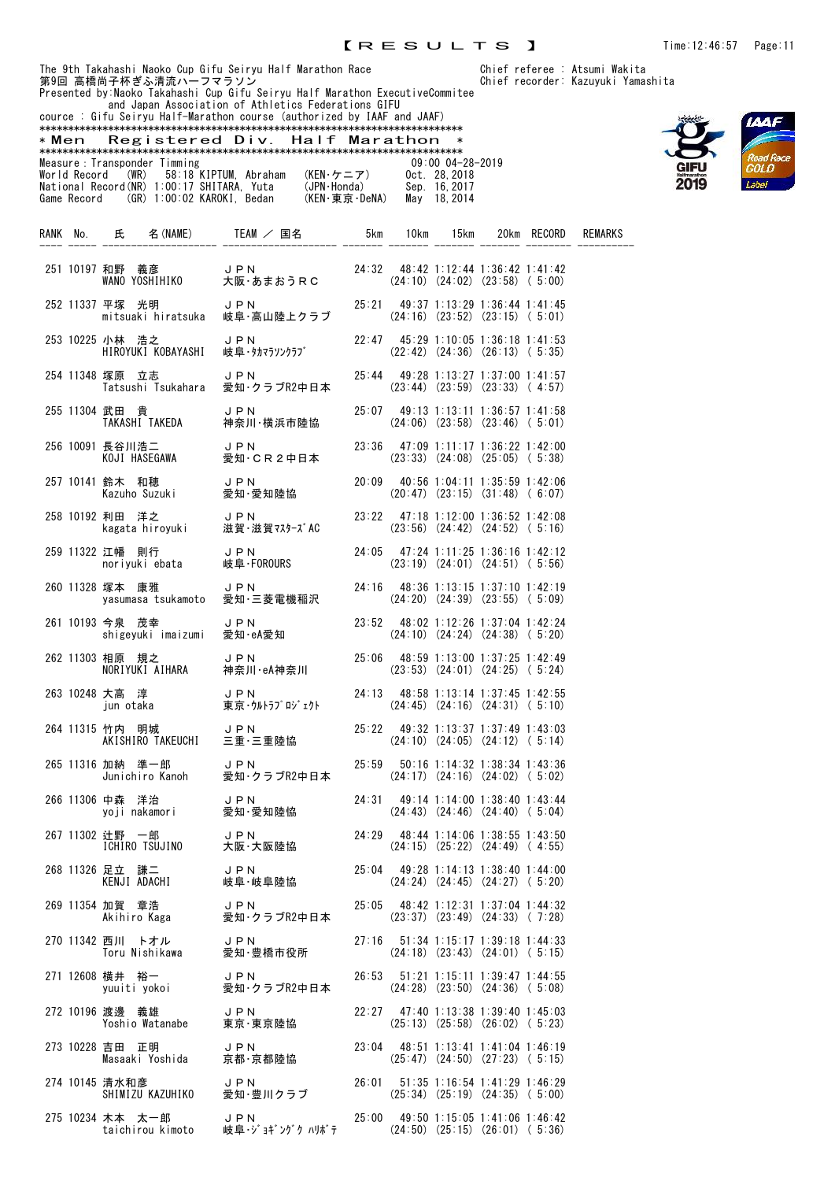The 9th Takahashi Naoko Cup Gifu Seiryu Half Marathon Race Chief referee : Atsumi Wakita 第9回 高橋尚子杯ぎふ清流ハーフマラソン しゅうしょう しょうしゃ Chief recorder: Kazuyuki Yamashita Presented by:Naoko Takahashi Cup Gifu Seiryu Half Marathon ExecutiveCommitee and Japan Association of Athletics Federations GIFU cource : Gifu Seiryu Half-Marathon course (authorized by IAAF and JAAF) \*\*\*\*\*\*\*\*\*\*\*\*\*\*\*\*\*\*\*\*\*\*\*\*\*\*\*\*\*\*\*\*\*\*\*\*\*\*\*\*\*\*\*\*\*\*\*\*\*\*\*\*\*\*\*\*\*\*\*\*\*\*\*\*\*\*\*\*\*\*\*\*\*\* \* Men Registered Div. Half Marathon \* \*\*\*\*\*\*\*\*\*\*\*\*\*\*\*\*\*\*\*\*\*\*\*\*\*\*\*\*\*\*\*\*\*\*\*\*\*\*\*\*\*\*\*\*\*\*\*\*\*\*\*\*\*\*\*\*\*\*\*\*\*\*\*\*\*\*\*\*\*\*\*\*\*\* Measure: Transponder Timming 09:00 04-28-2019<br>
World Record (WR) 58:18 KIPTUM, Abraham (KEN·ケニア) 0ct. 28, 2018<br>
National Record (NR) 1:00:17 SHITARA, Yuta (JPN·Honda) Sep. 16, 2017<br>
Game Record (GR) 1:00:02 KAROKI, Bedan World Record (WR) 58:18 KIPTUM, Abraham (KEN・ケニア) Oct. 28,2018 National Record(NR) 1:00:17 SHITARA, Yuta (JPN・Honda) Sep. 16,2017 Game Record (GR) 1:00:02 KAROKI, Bedan (KEN・東京・DeNA) May 18,2014 RANK No. 氏 名(NAME) TEAM / 国名 5km 10km 15km 20km RECORD REMARKS



|  |                                                            | 251 10197 和野 義彦 JPN 24:32 48:42 1:12:44 1:36:42 1:41:42<br>WANO YOSHIHIKO 大阪・あまおうRC (24:10) (24:02) (23:58) (5:00)                              |  |                                                                                   |  |  |
|--|------------------------------------------------------------|-------------------------------------------------------------------------------------------------------------------------------------------------|--|-----------------------------------------------------------------------------------|--|--|
|  |                                                            | 252 11337 平塚 光明     JPN        25:21  49:37 1:13:29 1:36:44 1:41:45<br>mitsuaki hiratsuka  岐阜・高山陸上クラブ     (24:16) (23:52) (23:15) (5:01)        |  |                                                                                   |  |  |
|  | 253 10225 小林 浩之 JPN                                        | 小林 浩之     J P N          22:47  45:29 1:10:05 1:36:18 1:41:53<br>HIROYUKI KOBAYASHI  岐阜・タカマラソンクラブ       (22:42) (24:36) (26:13)(5:35)           |  |                                                                                   |  |  |
|  |                                                            | 254 11348 塚原 立志     JPN        25:44  49:28 1:13:27 1:37:00 1:41:57<br>【Tatsushi Tsukahara  愛知・クラブR2中日本     (23:44)(23:59)(23:33)(4:57)         |  |                                                                                   |  |  |
|  |                                                            | 255 11304 武田 貴       J P N         25∶07  49∶13 1∶13∶11 1∶36∶57 1∶41∶58<br>【TAKASHI TAKEDA    神奈川・横浜市陸協       (24∶06) (23∶58) (23∶46) (5∶01)    |  |                                                                                   |  |  |
|  |                                                            | 256 10091 長谷川浩二      J P N         23:36   47:09 1:11:17 1:36:22 1:42:00<br>KOJI HASEGAWA    愛知・CR2中日本       (23:33) (24:08) (25:05)(5:38)      |  |                                                                                   |  |  |
|  |                                                            | 257 10141 鈴木 和穂      J P N          20:09  40:56 1:04:11 1:35:59 1:42:06<br>Kazuho Suzuki    愛知・愛知陸協           (20:47) (23:15) (31:48)( 6:07)   |  |                                                                                   |  |  |
|  |                                                            | 258 10192 利田 洋之      J P N        23:22   47:18 1:12:00 1:36:52 1:42:08<br>kagata hiroyuki   滋賀·滋賀マスターズAC      (23:56) (24:42) (24:52)(5:16)    |  |                                                                                   |  |  |
|  |                                                            | 259 11322 江幡 則行      J P N         24:05 47:24 1:11:25 1:36:16 1:42:12<br>noriyuki ebata    岐阜·FOROURS           (23:19) (24:01) (24:51) (5:56) |  |                                                                                   |  |  |
|  | 260 11328 塚本 康雅                                            | 塚本 康雅      J P N         24:16  48:36 1:13:15 1:37:10 1:42:19<br>yasumasa tsukamoto  愛知・三菱電機稲沢      (24:20)(24:39)(23:55)( 5:09)                |  |                                                                                   |  |  |
|  | 261 10193 今泉 茂幸                                            | 今泉 茂幸 JPN 23:52 48:02 1:12:26 1:37:04 1:42:24<br>shigeyuki imaizumi 愛知·eA愛知 (24:10) (24:24) (24:38) (5:20)                                      |  |                                                                                   |  |  |
|  |                                                            | 262 11303 相原 規之 J P N 25:06 48:59 1:13:00 1:37:25 1:42:49<br>NORIYUKI AIHARA 神奈川·eA神奈川 (23:53) (24:01) (24:25) (5:24)                           |  |                                                                                   |  |  |
|  |                                                            | 263 10248 大高 淳 J P N 24:13 48:58 1:13:14 1:37:45 1:42:55<br>jun otaka 東京·ウルトラプロジェクト (24:45) (24:16) (24:31) (5:10)                              |  |                                                                                   |  |  |
|  |                                                            | 264 11315 竹内 明城 JPN 25:22 49:32 1:13:37 1:37:49 1:43:03<br>AKISHIRO TAKEUCHI 三重·三重陸協 (24:10) (24:05) (24:12) (5:14)                             |  |                                                                                   |  |  |
|  |                                                            |                                                                                                                                                 |  |                                                                                   |  |  |
|  |                                                            | 266 11306 中森 洋治      J P N        24:31  49:14 1:14:00 1:38:40 1:43:44<br>yoji nakamori    愛知・愛知陸協          (24:43) (24:46) (24:40)(5:04)       |  |                                                                                   |  |  |
|  |                                                            | 267 11302 辻野 一郎      J P N         24:29  48:44 1:14:06 1:38:55 1:43:50<br>【CHIRO TSUJINO   大阪·大阪陸協           (24:15) (25:22) (24:49)( 4:55)    |  |                                                                                   |  |  |
|  | KENJI ADACHI                                               | 268 11326 足立 謙二 JPN 25:04 49:28 1:14:13 1:38:40 1:44:00<br>岐阜·岐阜陸協                                                                              |  | $(24:24)$ $(24:45)$ $(24:27)$ $(5:20)$                                            |  |  |
|  | 269 11354 加賀 章浩 し P N<br>Akihiro Kaga 愛知·クラブR2中日本          |                                                                                                                                                 |  | $25:05$ 48:42 1:12:31 1:37:04 1:44:32<br>$(23:37)$ $(23:49)$ $(24:33)$ $(7:28)$   |  |  |
|  | 270 11342 西川 トオル JPN<br>Toru Nishikawa 愛知·豊橋市役所            |                                                                                                                                                 |  | 27:16  51:34  1:15:17  1:39:18  1:44:33<br>$(24:18)$ $(23:43)$ $(24:01)$ $(5:15)$ |  |  |
|  | 271 12608 横井 裕一 JPN<br>yuuiti yokoi 愛知・クラブR2中日本            |                                                                                                                                                 |  | 26:53 51:21 1:15:11 1:39:47 1:44:55<br>$(24:28)$ $(23:50)$ $(24:36)$ $(5:08)$     |  |  |
|  | 272 10196 渡邊 義雄 コロト<br>Yoshio Watanabe 東京·東京陸協             |                                                                                                                                                 |  | $22:27$ 47:40 1:13:38 1:39:40 1:45:03<br>$(25:13)$ $(25:58)$ $(26:02)$ $(5:23)$   |  |  |
|  | 273 10228 吉田 正明<br>吉田 正明 しい DIN<br>Masaaki Yoshida 京都·京都陸協 | JPN                                                                                                                                             |  | $23:04$ 48:51 1:13:41 1:41:04 1:46:19<br>$(25:47)$ $(24:50)$ $(27:23)$ $(5:15)$   |  |  |
|  | 274 10145 清水和彦<br>SHIMIZU KAZUHIKO 愛知 豊川クラブ                | JPN                                                                                                                                             |  | $26:01$ 51:35 1:16:54 1:41:29 1:46:29<br>$(25:34)$ $(25:19)$ $(24:35)$ $(5:00)$   |  |  |
|  | 275 10234 木本 太一郎     JPN                                   |                                                                                                                                                 |  | 25:00 49:50 1:15:05 1:41:06 1:46:42                                               |  |  |

taichirou kimoto 岐阜・ジョギングク ハリボテ (24:50) (25:15) (26:01) ( 5:36)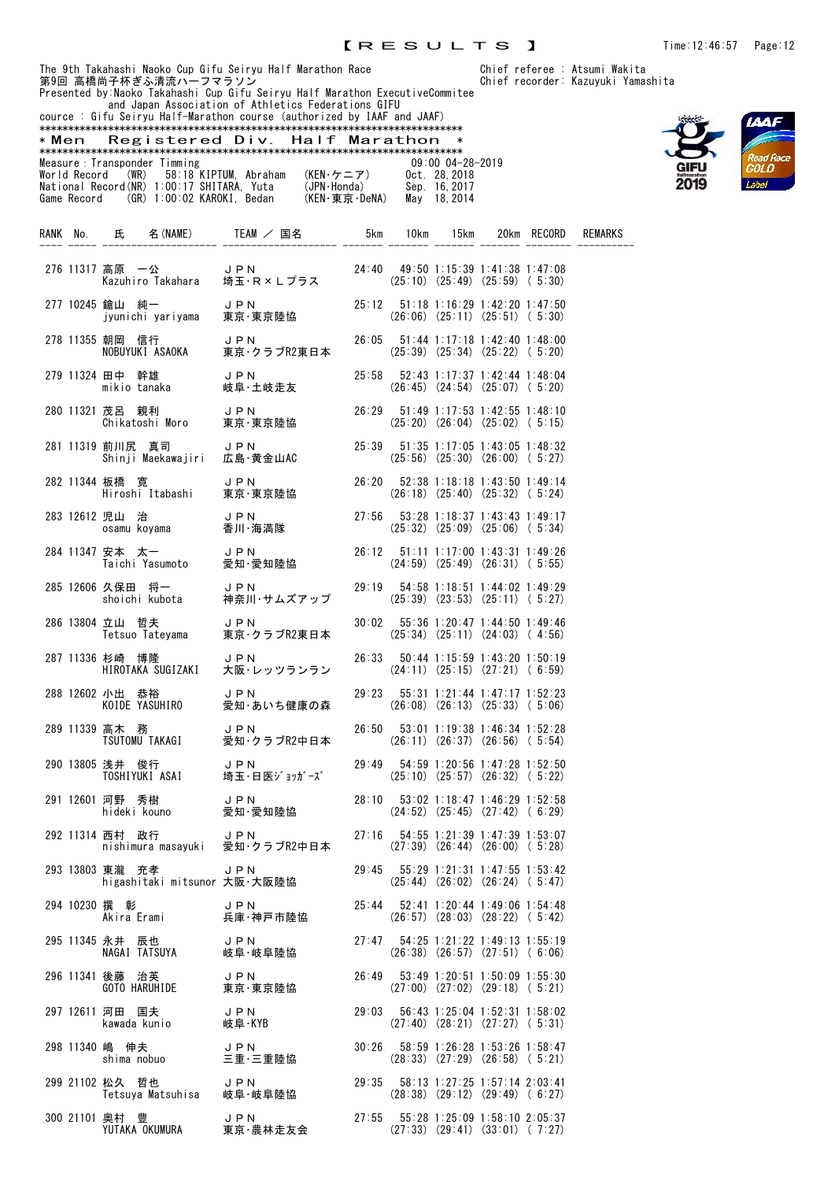and Japan Association of Athletics Federations GIFU cource : Gifu Seiryu Half-Marathon course (authorized by IAAF and JAAF)



| <u>000100 . MITU OOTI JU HUIT MUI UCHOH OOUI OO (UUCHOI ILOU MJ ITIME UHU OJMI)</u> |                               |               |                      |
|-------------------------------------------------------------------------------------|-------------------------------|---------------|----------------------|
|                                                                                     |                               |               |                      |
| * Men                                                                               | Registered Div. Half Marathon |               |                      |
|                                                                                     |                               |               |                      |
| Measure : Transponder Timming                                                       |                               |               | $09:00$ $04-28-2019$ |
| World Record (WR) 58:18 KIPTUM, Abraham                                             |                               | (KEN・ケニア)     | Oct. 28.2018         |
| National Record (NR) 1:00:17 SHITARA, Yuta                                          |                               | (JPN·Honda)   | Sep. 16.2017         |
| Game Record (GR) 1:00:02 KAROKI. Bedan                                              |                               | (KEN・東京・DeNA) | May 18.2014          |

|  |                 |                                 | RANK No. 氏 名(NAME) TEAM / 国名 5km 10km 15km                                                                                                                   |  |                                                                                         | 20km RECORD | REMARKS |
|--|-----------------|---------------------------------|--------------------------------------------------------------------------------------------------------------------------------------------------------------|--|-----------------------------------------------------------------------------------------|-------------|---------|
|  |                 |                                 | 276 11317 高原 一公      J P N        24:40  49:50 1:15:39 1:41:38 1:47:08<br>Kazuhiro Takahara  埼玉・R×Lプラス      (25:10) (25:49) (25:59) ( 5:30)                  |  |                                                                                         |             |         |
|  | 277 10245 鎗山 純一 |                                 | 鎗山 純一      JPN         25:12 51:18 1:16:29 1:42:20 1:47:50<br>jyunichi yariyama  東京・東京陸協        (26:06) (25:11) (25:51) ( 5:30)                              |  |                                                                                         |             |         |
|  |                 |                                 | 278 11355 朝岡 信行      J PN         26:05  51:44 1:17:18 1:42:40 1:48:00<br>NOBUYUKI ASAOKA   東京・クラブR2東日本      (25:39) (25:34) (25:22)( 5:20)                  |  |                                                                                         |             |         |
|  |                 |                                 | 279 11324 田中 幹雄 JPN<br>mikio tanaka    岐阜・土岐走友                                                                                                               |  | 25:58 52:43 1:17:37 1:42:44 1:48:04<br>$(26:45)$ $(24:54)$ $(25:07)$ $(5:20)$           |             |         |
|  |                 |                                 | 280 11321 茂呂 親利      J P N          26:29   51:49 1:17:53 1:42:55 1:48:10<br>Chikatoshi Moro   東京·東京陸協                       (25:20) (26:04) (25:02) ( 5:15) |  |                                                                                         |             |         |
|  |                 |                                 | 281 11319 前川尻 真司    J P N        25:39  51:35 1:17:05 1:43:05 1:48:32<br>Shinji Maekawajiri  広島·黄金山AC        (25:56) (25:30) (26:00) (5:27)                  |  |                                                                                         |             |         |
|  |                 |                                 | 282 11344 板橋 寛      J P N        26:20  52:38 1:18:18 1:43:50 1:49:14<br>Hiroshi Itabashi   東京·東京陸協         (26:18) (25:40)(25:32)(5:24)                     |  |                                                                                         |             |         |
|  |                 |                                 | 283 12612 児山 治        J P N         27:56  53:28 1:18:37 1:43:43 1:49:17<br>0samu koyama    香川·海満隊           (25:32) (25:09) (25:06)(5:34)                   |  |                                                                                         |             |         |
|  |                 |                                 | 284 11347 安本 太一      J P N         26:12 51:11 1:17:00 1:43:31 1:49:26<br>Taichi Yasumoto   愛知·愛知陸協         (24:59) (25:49) (26:31) ( 5:55)                  |  |                                                                                         |             |         |
|  |                 |                                 | 285 12606 久保田 将一     J PN        29:19 54:58 1:18:51 1:44:02 1:49:29<br>shoichi kubota   神奈川・サムズアップ     (25:39) (23:53) (25:11) (5:27)                       |  |                                                                                         |             |         |
|  |                 |                                 | 286 13804 立山 哲夫          J P N<br>Tetsuo Tateyama       東京・クラブR2東日本                                                                                          |  | 30:02  55:36  1:20:47  1:44:50  1:49:46<br>$(25:34)$ $(25:11)$ $(24:03)$ $(4:56)$       |             |         |
|  | 287 11336 杉崎 博隆 |                                 | 杉崎 博隆          JPN<br>HIROTAKA SUGIZAKI     大阪・レッツランラン                                                                                                       |  | 26:33 50:44 1:15:59 1:43:20 1:50:19<br>$(24:11)$ $(25:15)$ $(27:21)$ $(6:59)$           |             |         |
|  |                 |                                 | 288 12602 小出 恭裕 - JPN<br>KOIDE YASUHIRO - 愛知・あいち健康の森                                                                                                         |  | $29:23$ $55:31$ 1:21:44 1:47:17 1:52:23<br>$(26:08)$ $(26:13)$ $(25:33)$ $(5:06)$       |             |         |
|  |                 |                                 |                                                                                                                                                              |  | 26:50 53:01 1:19:38 1:46:34 1:52:28<br>$(26:11)$ $(26:37)$ $(26:56)$ $(5:54)$           |             |         |
|  |                 |                                 | 290 13805 浅井 俊行                  J P N                             29<br>TOSHIYUKI ASAI       埼玉・日医ジョッガーズ                                                    |  | 29:49 54:59 1:20:56 1:47:28 1:52:50<br>$(25:10)$ $(25:57)$ $(26:32)$ $(5:22)$           |             |         |
|  |                 |                                 | 291 12601 河野 秀樹      J P N         28:10  53:02 1:18:47 1:46:29 1:52:58<br>hideki kouno    愛知・愛知陸協                            (24:52) (25:45) (27:42)( 6:29) |  |                                                                                         |             |         |
|  |                 |                                 | 292 11314 西村 政行 JPN 27:16 54:55 1:21:39 1:47:39 1:53:07 nishimura masayuki 愛知・クラブR2中日本 (27:39) (26:44) (26:00) (5:28)                                        |  |                                                                                         |             |         |
|  | 293 13803 東瀧 充孝 |                                 | JPN<br>higashitaki mitsunor 大阪・大阪陸協                                                                                                                          |  | $29:45$ $55:29$ 1:21:31 1:47:55 1:53:42<br>$(25:44)$ $(26:02)$ $(26:24)$ $(5:47)$       |             |         |
|  |                 | 294 10230 撰 彰<br>Akira Erami    | JPN<br>兵庫·神戸市陸協                                                                                                                                              |  | 25:44 52:41 1:20:44 1:49:06 1:54:48<br>$(26:57)$ $(28:03)$ $(28:22)$ $(5:42)$           |             |         |
|  | 295 11345 永井 辰也 | NAGAI TATSUYA                   | JPN<br>岐阜·岐阜陸協                                                                                                                                               |  | 27:47 54:25 1:21:22 1:49:13 1:55:19<br>$(26:38)$ $(26:57)$ $(27:51)$ $(6:06)$           |             |         |
|  | 296 11341 後藤 治英 | GOTO HARUHIDE                   | JPN<br>東京・東京陸協                                                                                                                                               |  | 26:49 53:49 1:20:51 1:50:09 1:55:30<br>$(27:00)$ $(27:02)$ $(29:18)$ $(5:21)$           |             |         |
|  |                 | 297 12611 河田 国夫<br>kawada kunio | J P N<br>岐阜·KYB                                                                                                                                              |  | 29:03  56:43  1:25:04  1:52:31  1:58:02<br>$(27:40)$ $(28:21)$ $(27:27)$ $(5:31)$       |             |         |
|  | 298 11340 嶋 伸夫  | shima nobuo                     | J P N<br>三重·三重陸協                                                                                                                                             |  | 30:26  58:59  1:26:28  1:53:26  1:58:47<br>$(28:33)$ $(27:29)$ $(26:58)$ $(5:21)$       |             |         |
|  | 299 21102 松久 哲也 |                                 | <b>JPN</b><br>Tetsuya Matsuhisa 岐阜·岐阜陸協                                                                                                                      |  | $29:35$ $58:13$ $1:27:25$ $1:57:14$ $2:03:41$<br>$(28:38)$ $(29:12)$ $(29:49)$ $(6:27)$ |             |         |
|  |                 | 300 21101 奥村 豊                  | JPN<br>YUTAKA OKUMURA 東京·農林走友会                                                                                                                               |  | $27:55$ $55:28$ 1:25:09 1:58:10 2:05:37<br>$(27:33)$ $(29:41)$ $(33:01)$ $(7:27)$       |             |         |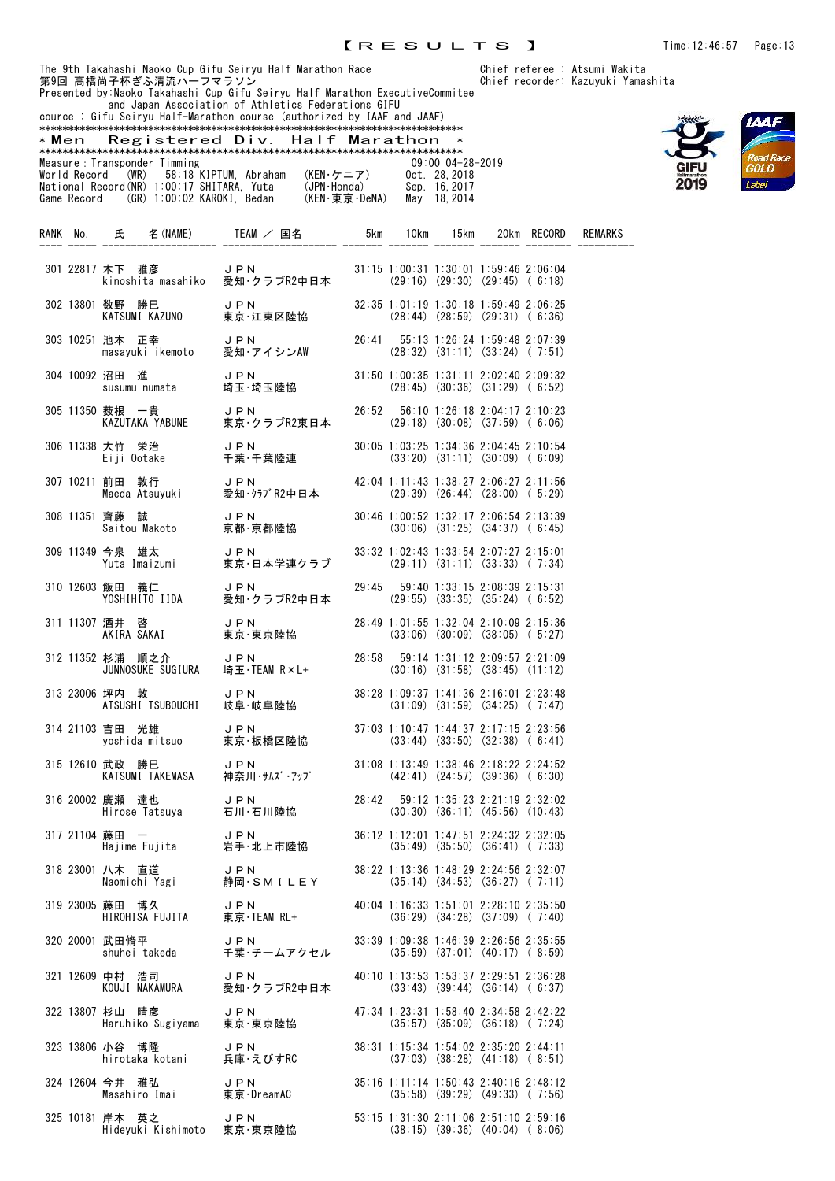

|                                                                        |  |  | and Japan Association of Athletics Federations GIFU |                      |  |  |  |  |  |
|------------------------------------------------------------------------|--|--|-----------------------------------------------------|----------------------|--|--|--|--|--|
| cource: Gifu Seiryu Half-Marathon course (authorized by IAAF and JAAF) |  |  |                                                     |                      |  |  |  |  |  |
|                                                                        |  |  |                                                     |                      |  |  |  |  |  |
| * Men                                                                  |  |  | Registered Div. Half Marathon                       |                      |  |  |  |  |  |
|                                                                        |  |  |                                                     |                      |  |  |  |  |  |
| Measure: Transponder Timming                                           |  |  |                                                     | $09:00$ $04-28-2019$ |  |  |  |  |  |
| World Record (WR) 58:18 KIPTUM, Abraham                                |  |  | (KEN・ケニア)                                           | Oct. 28.2018         |  |  |  |  |  |
| National Record(NR) 1:00:17 SHITARA, Yuta                              |  |  | (JPN·Honda)                                         | Sep. 16.2017         |  |  |  |  |  |
| Game Record (GR) 1:00:02 KAROKI. Bedan                                 |  |  | (KEN・東京・DeNA)                                       | May 18, 2014         |  |  |  |  |  |
|                                                                        |  |  |                                                     |                      |  |  |  |  |  |

|              | RANK No. 氏                                           | 名 (NAME) TEAM / 国名                                                                                                                             | 5km                                     | 10km | 15km |                                                                                   | 20km RECORD | <b>REMARKS</b> |
|--------------|------------------------------------------------------|------------------------------------------------------------------------------------------------------------------------------------------------|-----------------------------------------|------|------|-----------------------------------------------------------------------------------|-------------|----------------|
|              |                                                      | 301 22817 木下 雅彦      J P N        31:15 1:00:31 1:30:01 1:59:46 2:06:04<br>kinoshita masahiko  愛知・クラブR2中日本     (29:16) (29:30) (29:45) ( 6:18) |                                         |      |      |                                                                                   |             |                |
|              |                                                      | 302 13801 数野 勝巳     J P N<br>KATSUMI KAZUNO    東京·江東区陸協                                                                                        |                                         |      |      | $32:35$ 1:01:19 1:30:18 1:59:49 2:06:25<br>$(28:44)$ $(28:59)$ $(29:31)$ $(6:36)$ |             |                |
|              | 303 10251 池本 正幸      J P N<br>masayuki ikemoto  愛知·ア | JPN<br>愛知・アイシンAW                                                                                                                               | 26:41  55:13  1:26:24  1:59:48  2:07:39 |      |      | $(28:32)$ $(31:11)$ $(33:24)$ $(7:51)$                                            |             |                |
|              | 304 10092 沼田 進                                       | 沼田 進       JPN<br>susumu numata    埼玉・埼玉陸協                                                                                                     |                                         |      |      | 31:50 1:00:35 1:31:11 2:02:40 2:09:32<br>$(28:45)$ $(30:36)$ $(31:29)$ $(6:52)$   |             |                |
|              |                                                      | 305 11350 薮根 一貴      J P N         26:52<br>KAZUTAKA YABUNE   東京・クラブR2東日本      (2                                                              |                                         |      |      | 56:10 1:26:18 2:04:17 2:10:23<br>$(29:18)$ $(30:08)$ $(37:59)$ $(6:06)$           |             |                |
|              |                                                      | 306 11338 大竹 栄治      J P N<br>Ei ji Ootake     千葉・千葉陸連                                                                                         |                                         |      |      | 30:05 1:03:25 1:34:36 2:04:45 2:10:54<br>$(33:20)$ $(31:11)$ $(30:09)$ $(6:09)$   |             |                |
|              |                                                      | 307 10211 前田 敦行      J PN<br>Maeda Atsuyuki    愛知・クラプR2中日本                                                                                     |                                         |      |      | 42:04 1:11:43 1:38:27 2:06:27 2:11:56<br>$(29:39)$ $(26:44)$ $(28:00)$ $(5:29)$   |             |                |
|              |                                                      | 308 11351 齊藤 誠 JPN JPN 30:<br>Saitou Makoto 京都·京都陸協                                                                                            |                                         |      |      | 30:46 1:00:52 1:32:17 2:06:54 2:13:39<br>$(30:06)$ $(31:25)$ $(34:37)$ $(6:45)$   |             |                |
|              |                                                      | 309 11349 今泉 雄太      J P N        33:32 1:02:43 1:33:54 2:07:27 2:15:01<br>Yuta Imaizumi    東京・日本学連クラブ     (29:11) (31:11) (33:33) ( 7:34)     |                                         |      |      |                                                                                   |             |                |
|              |                                                      | 310 12603 飯田 義仁      J P N         29:45  59:40 1:33:15 2:08:39 2:15:31<br>YOSHIHITO IIDA    愛知・クラブR2中日本      (29:55) (33:35) (35:24) ( 6:52)  |                                         |      |      |                                                                                   |             |                |
|              |                                                      | 311 11307 酒井 啓 J P N 28:49 1:01:55 1:32:04 2:10:09 2:15:36<br>AKIRA SAKAI 東京·東京陸協 (33:06) (30:09) (38:05) (5:27)                               |                                         |      |      |                                                                                   |             |                |
|              | 312 11352 杉浦 順之介 JPN<br>JUNNOSUKE SUGIURA 埼玉·TI      | J P N 28:58 59:14 1:31:12 2:09:57 2:21:09<br>埼玉・TEAM R×L+ (30:16) (31:58) (38:45) (11:12)                                                      |                                         |      |      |                                                                                   |             |                |
|              | 坪内 敦<br>ATSUSHI TSUBOUCHI<br>313 23006 坪内 敦          | JPN<br>岐阜・岐阜陸協                                                                                                                                 |                                         |      |      | 38:28 1:09:37 1:41:36 2:16:01 2:23:48<br>$(31:09)$ $(31:59)$ $(34:25)$ $(7:47)$   |             |                |
|              | 314 21103 吉田 光雄                                      | 吉田 光雄      J P N<br>yoshida mitsuo    東京・板橋区陸協                                                                                                 |                                         |      |      | 37:03 1:10:47 1:44:37 2:17:15 2:23:56<br>$(33:44)$ $(33:50)$ $(32:38)$ $(6:41)$   |             |                |
|              |                                                      | 315 12610 武政 勝巳            J P N<br>KATSUMI TAKEMASA       神奈川・サムズ・アップ                                                                         |                                         |      |      | 31:08 1:13:49 1:38:46 2:18:22 2:24:52<br>$(42:41)$ $(24:57)$ $(39:36)$ $(6:30)$   |             |                |
|              |                                                      | 316 20002 廣瀬 達也 リPN JPN 28<br>Hirose Tatsuya 石川·石川陸協                                                                                           |                                         |      |      | 28:42 59:12 1:35:23 2:21:19 2:32:02<br>$(30:30)$ $(36:11)$ $(45:56)$ $(10:43)$    |             |                |
| 317 21104 藤田 | 藤田 ー JPN<br>Hajime Fujita 岩手・北上市陸協                   |                                                                                                                                                |                                         |      |      | 36:12 1:12:01 1:47:51 2:24:32 2:32:05<br>$(35:49)$ $(35:50)$ $(36:41)$ $(7:33)$   |             |                |
|              | 318 23001 八木 直道<br>Naomichi Yagi                     | J P N<br>静岡·SMILEY                                                                                                                             |                                         |      |      | 38:22 1:13:36 1:48:29 2:24:56 2:32:07<br>$(35:14)$ $(34:53)$ $(36:27)$ $(7:11)$   |             |                |
|              | 319 23005 藤田 博久<br>HIROHISA FUJITA                   | JPN<br>東京·TEAM RL+                                                                                                                             |                                         |      |      | 40:04 1:16:33 1:51:01 2:28:10 2:35:50<br>$(36:29)$ $(34:28)$ $(37:09)$ $(7:40)$   |             |                |
|              | 320 20001 武田脩平<br>shuhei takeda                      | JPN<br>千葉・チームアクセル                                                                                                                              |                                         |      |      | 33:39 1:09:38 1:46:39 2:26:56 2:35:55<br>$(35:59)$ $(37:01)$ $(40:17)$ $(8:59)$   |             |                |
|              | 321 12609 中村 浩司<br>KOUJI NAKAMURA                    | J P N<br>愛知·クラブR2中日本                                                                                                                           |                                         |      |      | 40:10 1:13:53 1:53:37 2:29:51 2:36:28<br>$(33:43)$ $(39:44)$ $(36:14)$ $(6:37)$   |             |                |
|              | 322 13807 杉山 晴彦<br>Haruhiko Sugiyama                 | J P N<br>東京·東京陸協                                                                                                                               |                                         |      |      | 47:34 1:23:31 1:58:40 2:34:58 2:42:22<br>$(35:57)$ $(35:09)$ $(36:18)$ $(7:24)$   |             |                |
|              | 323 13806 小谷 博隆<br>hirotaka kotani                   | J P N<br>兵庫・えびすRC                                                                                                                              |                                         |      |      | 38:31 1:15:34 1:54:02 2:35:20 2:44:11<br>$(37:03)$ $(38:28)$ $(41:18)$ $(8:51)$   |             |                |
|              | 324 12604 今井 雅弘<br>Masahiro Imai                     | JPN<br>東京·DreamAC                                                                                                                              |                                         |      |      | 35:16 1:11:14 1:50:43 2:40:16 2:48:12<br>$(35:58)$ $(39:29)$ $(49:33)$ $(7:56)$   |             |                |
|              | 325 10181 岸本 英之<br>Hideyuki Kishimoto 東京·東京陸協        | <b>JPN</b>                                                                                                                                     |                                         |      |      | 53:15 1:31:30 2:11:06 2:51:10 2:59:16<br>$(38:15)$ $(39:36)$ $(40:04)$ $(8:06)$   |             |                |